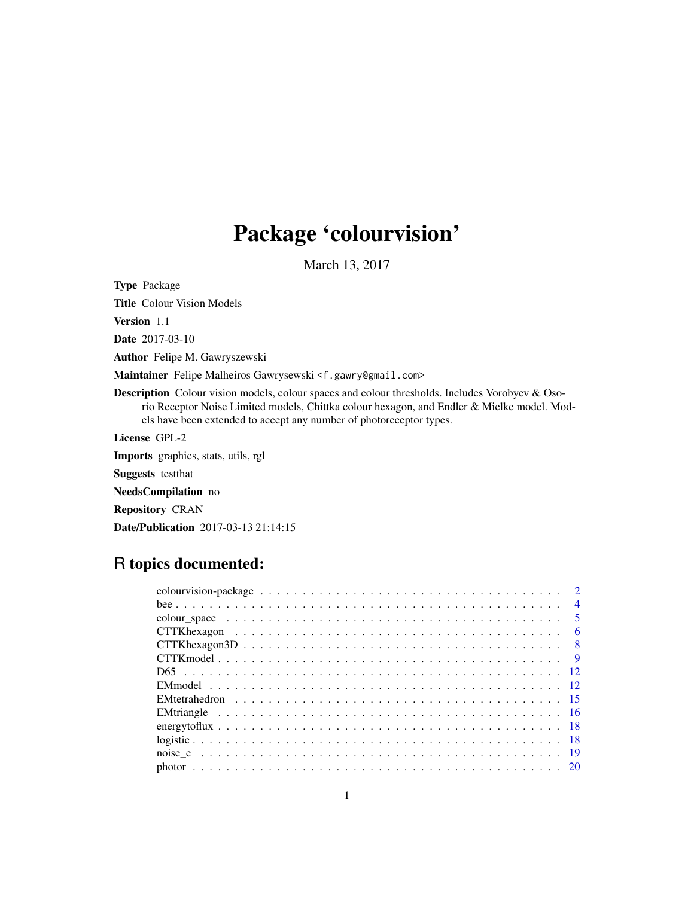# Package 'colourvision'

March 13, 2017

<span id="page-0-0"></span>Type Package Title Colour Vision Models Version 1.1 Date 2017-03-10 Author Felipe M. Gawryszewski Maintainer Felipe Malheiros Gawrysewski <f.gawry@gmail.com> Description Colour vision models, colour spaces and colour thresholds. Includes Vorobyev & Osorio Receptor Noise Limited models, Chittka colour hexagon, and Endler & Mielke model. Models have been extended to accept any number of photoreceptor types. License GPL-2 Imports graphics, stats, utils, rgl Suggests testthat NeedsCompilation no Repository CRAN

Date/Publication 2017-03-13 21:14:15

# R topics documented:

| $\overline{4}$ |
|----------------|
|                |
| - 6            |
|                |
|                |
|                |
|                |
|                |
|                |
|                |
|                |
|                |
|                |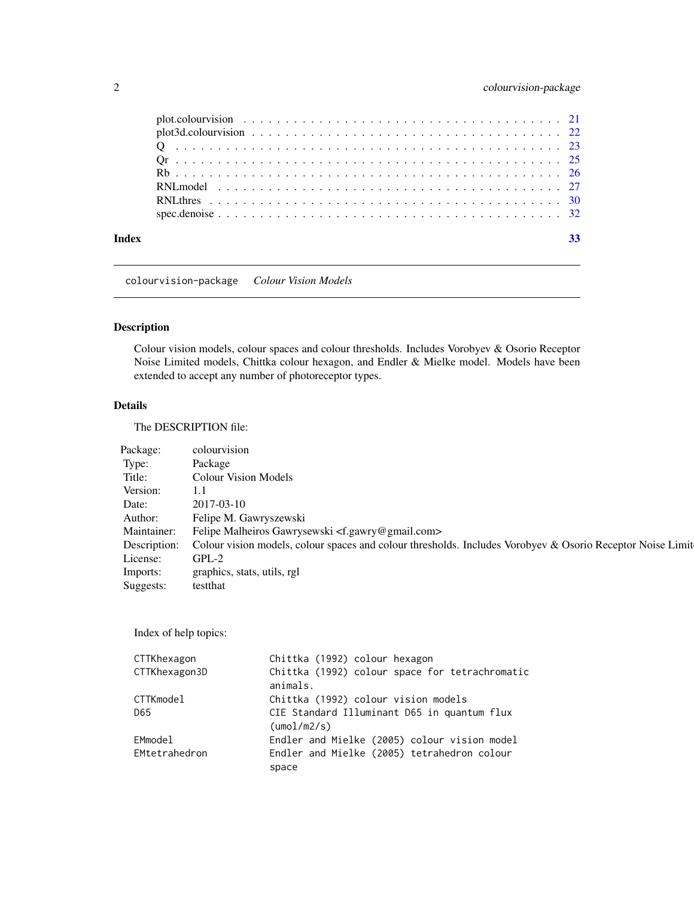<span id="page-1-0"></span>

colourvision-package *Colour Vision Models*

# Description

Colour vision models, colour spaces and colour thresholds. Includes Vorobyev & Osorio Receptor Noise Limited models, Chittka colour hexagon, and Endler & Mielke model. Models have been extended to accept any number of photoreceptor types.

# Details

The DESCRIPTION file:

| Package:    | colourvision                                                                                                            |
|-------------|-------------------------------------------------------------------------------------------------------------------------|
| Type:       | Package                                                                                                                 |
| Title:      | <b>Colour Vision Models</b>                                                                                             |
| Version:    | 1.1                                                                                                                     |
| Date:       | 2017-03-10                                                                                                              |
| Author:     | Felipe M. Gawryszewski                                                                                                  |
| Maintainer: | Felipe Malheiros Gawrysewski <f.gawry@gmail.com></f.gawry@gmail.com>                                                    |
|             | Description: Colour vision models, colour spaces and colour thresholds. Includes Vorobyev & Osorio Receptor Noise Limit |
| License:    | $GPL-2$                                                                                                                 |
| Imports:    | graphics, stats, utils, rgl                                                                                             |
| Suggests:   | testthat                                                                                                                |

Index of help topics:

| CTTKhexagon   | Chittka (1992) colour hexagon                  |
|---------------|------------------------------------------------|
| CTTKhexagon3D | Chittka (1992) colour space for tetrachromatic |
|               | animals.                                       |
| CTTKmodel     | Chittka (1992) colour vision models            |
| D65           | CIE Standard Illuminant D65 in quantum flux    |
|               | $(\text{umol/m2/s})$                           |
| EMmodel       | Endler and Mielke (2005) colour vision model   |
| EMtetrahedron | Endler and Mielke (2005) tetrahedron colour    |
|               | space                                          |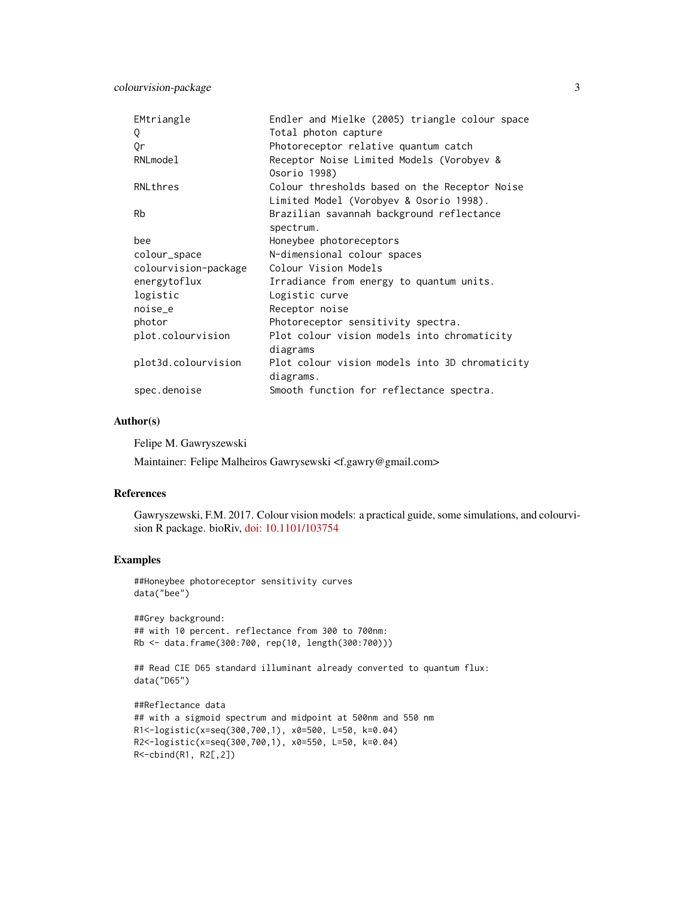| EMtriangle           | Endler and Mielke (2005) triangle colour space                                           |
|----------------------|------------------------------------------------------------------------------------------|
| Q                    | Total photon capture                                                                     |
| 0r                   | Photoreceptor relative quantum catch                                                     |
| RNLmodel             | Receptor Noise Limited Models (Vorobyev &<br>Osorio 1998)                                |
| RNLthres             | Colour thresholds based on the Receptor Noise<br>Limited Model (Vorobyev & Osorio 1998). |
| Rb                   | Brazilian savannah background reflectance<br>spectrum.                                   |
| bee                  | Honeybee photoreceptors                                                                  |
| colour_space         | N-dimensional colour spaces                                                              |
| colourvision-package | Colour Vision Models                                                                     |
| energytoflux         | Irradiance from energy to quantum units.                                                 |
| logistic             | Logistic curve                                                                           |
| noise_e              | Receptor noise                                                                           |
| photor               | Photoreceptor sensitivity spectra.                                                       |
| plot.colourvision    | Plot colour vision models into chromaticity<br>diagrams                                  |
| plot3d.colourvision  | Plot colour vision models into 3D chromaticity<br>diagrams.                              |
| spec.denoise         | Smooth function for reflectance spectra.                                                 |

#### Author(s)

Felipe M. Gawryszewski

Maintainer: Felipe Malheiros Gawrysewski <f.gawry@gmail.com>

#### References

Gawryszewski, F.M. 2017. Colour vision models: a practical guide, some simulations, and colourvision R package. bioRiv, [doi: 10.1101/103754](http://doi.org/10.1101/103754)

# Examples

```
##Honeybee photoreceptor sensitivity curves
data("bee")
```

```
##Grey background:
## with 10 percent. reflectance from 300 to 700nm:
Rb <- data.frame(300:700, rep(10, length(300:700)))
```

```
## Read CIE D65 standard illuminant already converted to quantum flux:
data("D65")
```

```
##Reflectance data
## with a sigmoid spectrum and midpoint at 500nm and 550 nm
R1<-logistic(x=seq(300,700,1), x0=500, L=50, k=0.04)
R2<-logistic(x=seq(300,700,1), x0=550, L=50, k=0.04)
R<-cbind(R1, R2[,2])
```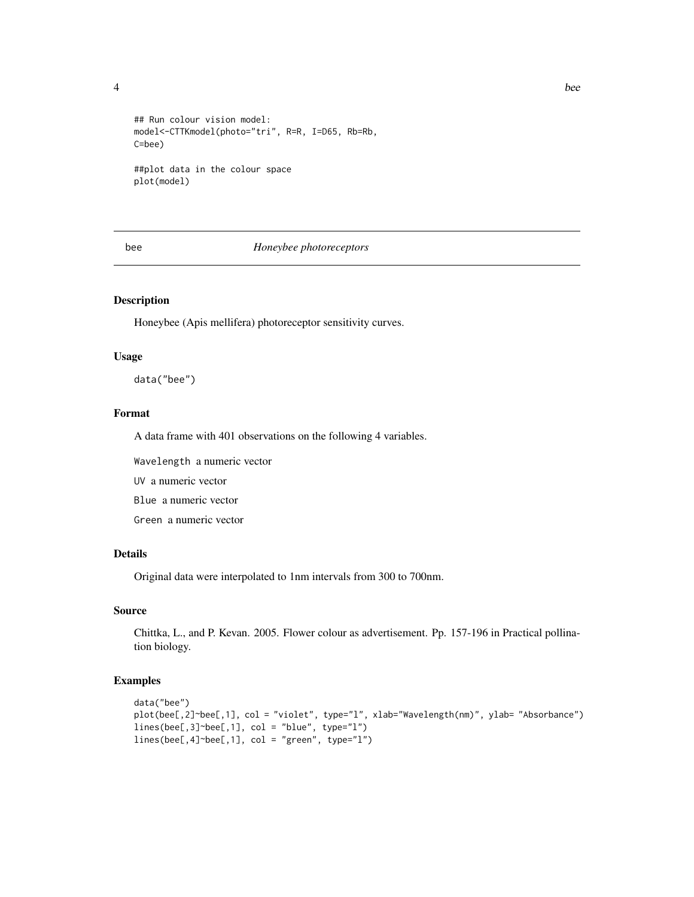<span id="page-3-0"></span>

```
## Run colour vision model:
model<-CTTKmodel(photo="tri", R=R, I=D65, Rb=Rb,
C=bee)
##plot data in the colour space
plot(model)
```
#### bee *Honeybee photoreceptors*

# Description

Honeybee (Apis mellifera) photoreceptor sensitivity curves.

# Usage

data("bee")

#### Format

A data frame with 401 observations on the following 4 variables.

Wavelength a numeric vector

UV a numeric vector

Blue a numeric vector

Green a numeric vector

# Details

Original data were interpolated to 1nm intervals from 300 to 700nm.

# Source

Chittka, L., and P. Kevan. 2005. Flower colour as advertisement. Pp. 157-196 in Practical pollination biology.

#### Examples

```
data("bee")
plot(bee[,2]~bee[,1], col = "violet", type="l", xlab="Wavelength(nm)", ylab= "Absorbance")
lines(bee[,3]~bee[,1], col = "blue", type="l")
lines(bee[,4]~bee[,1], col = "green", type="l")
```
4 bee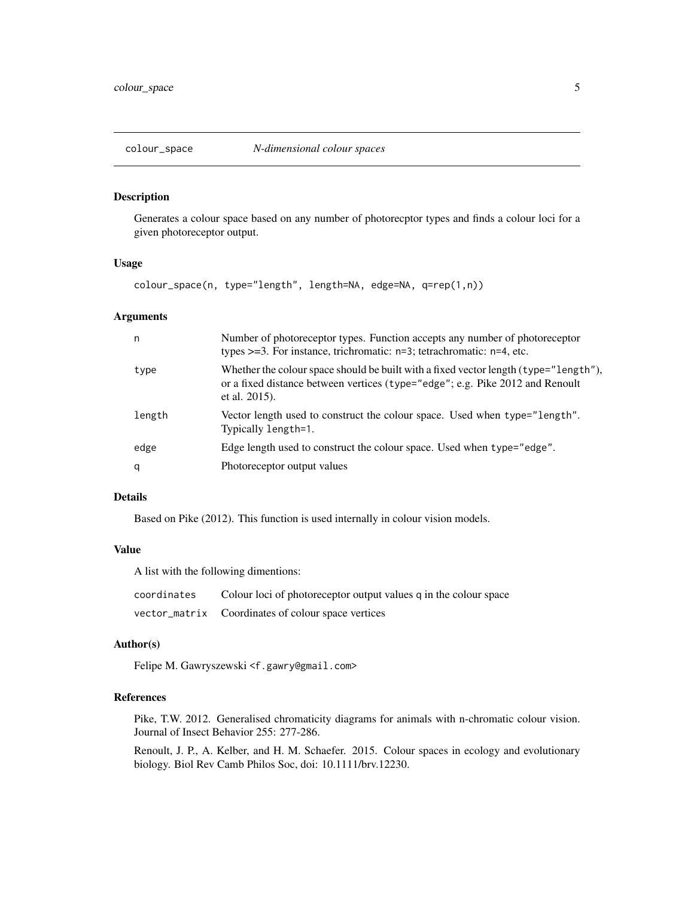<span id="page-4-0"></span>

#### Description

Generates a colour space based on any number of photorecptor types and finds a colour loci for a given photoreceptor output.

#### Usage

colour\_space(n, type="length", length=NA, edge=NA, q=rep(1,n))

# Arguments

| n      | Number of photoreceptor types. Function accepts any number of photoreceptor<br>types $>=3$ . For instance, trichromatic: $n=3$ ; tetrachromatic: $n=4$ , etc.                          |
|--------|----------------------------------------------------------------------------------------------------------------------------------------------------------------------------------------|
| type   | Whether the colour space should be built with a fixed vector length (type="length"),<br>or a fixed distance between vertices (type="edge"; e.g. Pike 2012 and Renoult<br>et al. 2015). |
| length | Vector length used to construct the colour space. Used when type="length".<br>Typically length=1.                                                                                      |
| edge   | Edge length used to construct the colour space. Used when type="edge".                                                                                                                 |
| q      | Photoreceptor output values                                                                                                                                                            |

# Details

Based on Pike (2012). This function is used internally in colour vision models.

#### Value

A list with the following dimentions:

| coordinates | Colour loci of photoreceptor output values q in the colour space |
|-------------|------------------------------------------------------------------|
|             | vector_matrix Coordinates of colour space vertices               |

#### Author(s)

Felipe M. Gawryszewski <f.gawry@gmail.com>

# References

Pike, T.W. 2012. Generalised chromaticity diagrams for animals with n-chromatic colour vision. Journal of Insect Behavior 255: 277-286.

Renoult, J. P., A. Kelber, and H. M. Schaefer. 2015. Colour spaces in ecology and evolutionary biology. Biol Rev Camb Philos Soc, doi: 10.1111/brv.12230.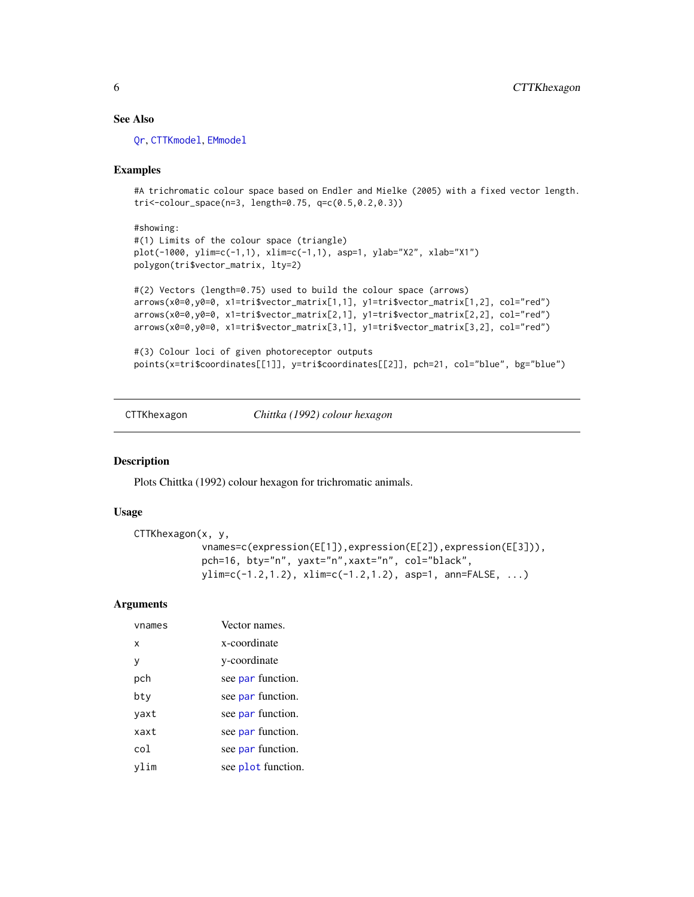# <span id="page-5-0"></span>See Also

[Qr](#page-24-1), [CTTKmodel](#page-8-1), [EMmodel](#page-11-1)

#### Examples

#A trichromatic colour space based on Endler and Mielke (2005) with a fixed vector length. tri<-colour\_space(n=3, length=0.75, q=c(0.5,0.2,0.3))

```
#showing:
#(1) Limits of the colour space (triangle)
plot(-1000, ylim=c(-1,1), xlim=c(-1,1), asp=1, ylab="X2", xlab="X1")
polygon(tri$vector_matrix, lty=2)
```

```
#(2) Vectors (length=0.75) used to build the colour space (arrows)
arrows(x0=0,y0=0, x1=tri$vector_matrix[1,1], y1=tri$vector_matrix[1,2], col="red")
arrows(x0=0,y0=0, x1=tri$vector_matrix[2,1], y1=tri$vector_matrix[2,2], col="red")
arrows(x0=0,y0=0, x1=tri$vector_matrix[3,1], y1=tri$vector_matrix[3,2], col="red")
```

```
#(3) Colour loci of given photoreceptor outputs
points(x=tri$coordinates[[1]], y=tri$coordinates[[2]], pch=21, col="blue", bg="blue")
```
<span id="page-5-1"></span>CTTKhexagon *Chittka (1992) colour hexagon*

#### Description

Plots Chittka (1992) colour hexagon for trichromatic animals.

#### Usage

```
CTTKhexagon(x, y,
            vnames=c(expression(E[1]),expression(E[2]),expression(E[3])),
            pch=16, bty="n", yaxt="n",xaxt="n", col="black",
            ylim=c(-1.2,1.2), xlim=c(-1.2,1.2), asp=1, ann=FALSE, ...)
```
#### **Arguments**

| vnames | Vector names.      |
|--------|--------------------|
| x      | x-coordinate       |
| V      | y-coordinate       |
| pch    | see par function.  |
| bty    | see par function.  |
| yaxt   | see par function.  |
| xaxt   | see par function.  |
| co1.   | see par function.  |
|        | see plot function. |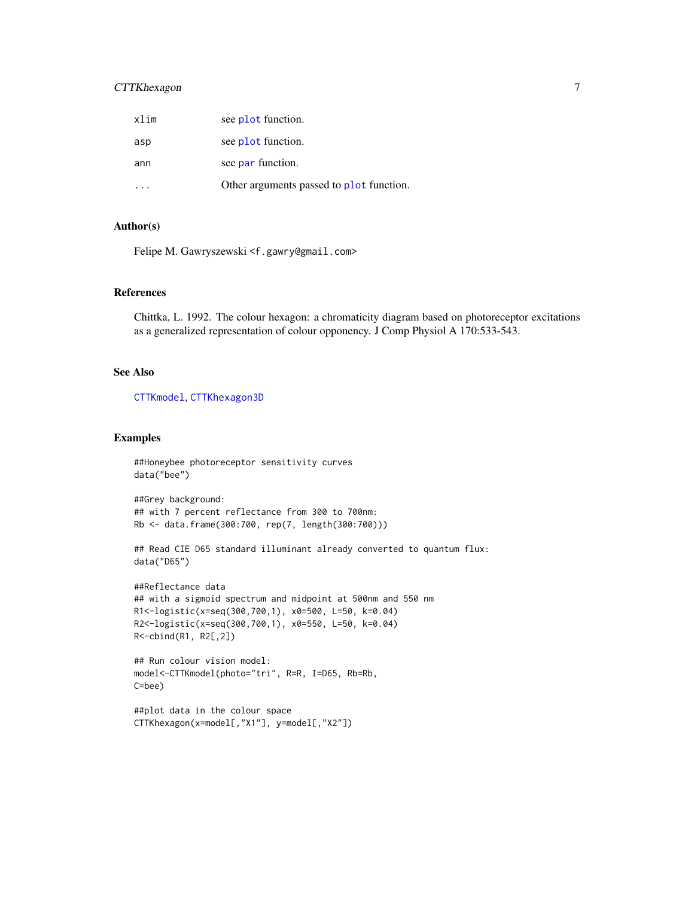# <span id="page-6-0"></span>CTTKhexagon 7

| xlim | see plot function.                       |
|------|------------------------------------------|
| asp  | see plot function.                       |
| ann  | see par function.                        |
|      | Other arguments passed to plot function. |

# Author(s)

Felipe M. Gawryszewski <f.gawry@gmail.com>

# References

Chittka, L. 1992. The colour hexagon: a chromaticity diagram based on photoreceptor excitations as a generalized representation of colour opponency. J Comp Physiol A 170:533-543.

#### See Also

[CTTKmodel](#page-8-1), [CTTKhexagon3D](#page-7-1)

# Examples

```
##Honeybee photoreceptor sensitivity curves
data("bee")
```
##Grey background: ## with 7 percent reflectance from 300 to 700nm: Rb <- data.frame(300:700, rep(7, length(300:700)))

## Read CIE D65 standard illuminant already converted to quantum flux: data("D65")

```
##Reflectance data
## with a sigmoid spectrum and midpoint at 500nm and 550 nm
R1<-logistic(x=seq(300,700,1), x0=500, L=50, k=0.04)
R2<-logistic(x=seq(300,700,1), x0=550, L=50, k=0.04)
R<-cbind(R1, R2[,2])
```

```
## Run colour vision model:
model<-CTTKmodel(photo="tri", R=R, I=D65, Rb=Rb,
C=bee)
```

```
##plot data in the colour space
CTTKhexagon(x=model[,"X1"], y=model[,"X2"])
```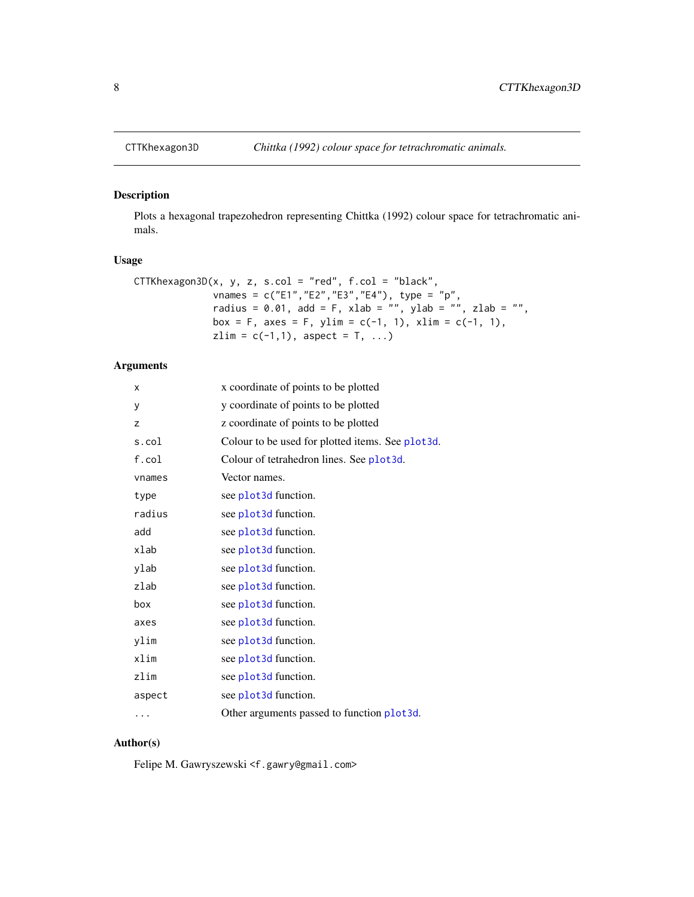<span id="page-7-1"></span><span id="page-7-0"></span>

# Description

Plots a hexagonal trapezohedron representing Chittka (1992) colour space for tetrachromatic animals.

# Usage

```
CTTKhexagon3D(x, y, z, s,col = "red", f,col = "black",vnames = c("E1","E2","E3","E4"), type = "p",
              radius = 0.01, add = F, xlab = "", ylab = "", zlab = "",
             box = F, axes = F, ylim = c(-1, 1), xlim = c(-1, 1),
              zlim = c(-1,1), aspect = T, ...)
```
# Arguments

| x      | x coordinate of points to be plotted             |
|--------|--------------------------------------------------|
| У      | y coordinate of points to be plotted             |
| z      | z coordinate of points to be plotted             |
| s.col  | Colour to be used for plotted items. See plot3d. |
| f.col  | Colour of tetrahedron lines. See plot3d.         |
| vnames | Vector names.                                    |
| type   | see plot3d function.                             |
| radius | see plot3d function.                             |
| add    | see plot3d function.                             |
| xlab   | see plot3d function.                             |
| ylab   | see plot3d function.                             |
| zlab   | see plot3d function.                             |
| box    | see plot3d function.                             |
| axes   | see plot3d function.                             |
| ylim   | see plot3d function.                             |
| xlim   | see plot3d function.                             |
| zlim   | see plot3d function.                             |
| aspect | see plot3d function.                             |
| .      | Other arguments passed to function plot3d.       |
|        |                                                  |

# Author(s)

Felipe M. Gawryszewski <f.gawry@gmail.com>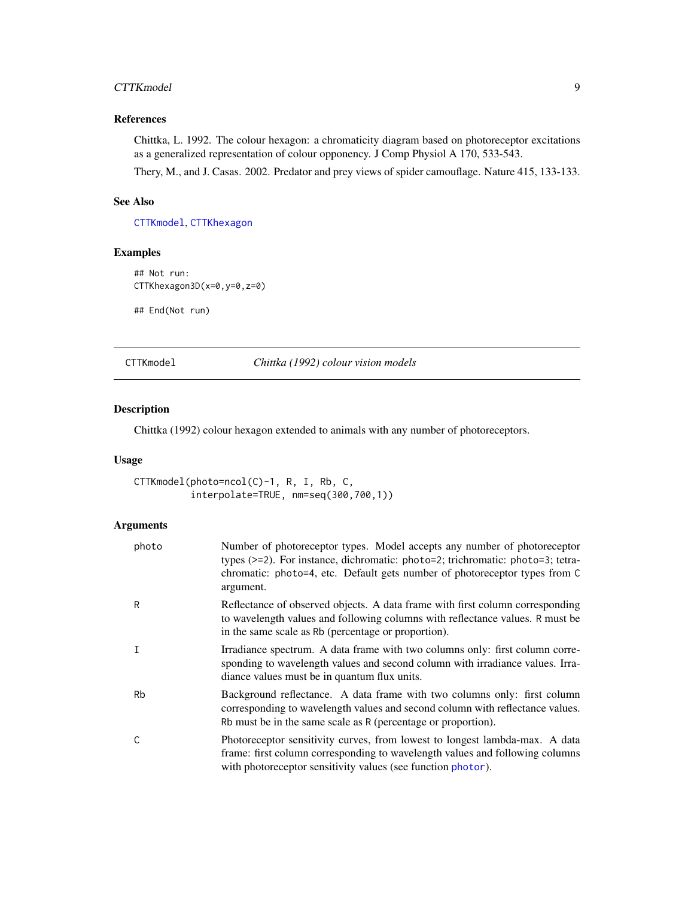#### <span id="page-8-0"></span>CTTKmodel 9

# References

Chittka, L. 1992. The colour hexagon: a chromaticity diagram based on photoreceptor excitations as a generalized representation of colour opponency. J Comp Physiol A 170, 533-543.

Thery, M., and J. Casas. 2002. Predator and prey views of spider camouflage. Nature 415, 133-133.

# See Also

[CTTKmodel](#page-8-1), [CTTKhexagon](#page-5-1)

# Examples

```
## Not run:
CTTKhexagon3D(x=0,y=0,z=0)
```
## End(Not run)

<span id="page-8-1"></span>CTTKmodel *Chittka (1992) colour vision models*

#### Description

Chittka (1992) colour hexagon extended to animals with any number of photoreceptors.

# Usage

CTTKmodel(photo=ncol(C)-1, R, I, Rb, C, interpolate=TRUE, nm=seq(300,700,1))

# Arguments

| photo        | Number of photoreceptor types. Model accepts any number of photoreceptor<br>types (>=2). For instance, dichromatic: photo=2; trichromatic: photo=3; tetra-<br>chromatic: photo=4, etc. Default gets number of photoreceptor types from C<br>argument. |
|--------------|-------------------------------------------------------------------------------------------------------------------------------------------------------------------------------------------------------------------------------------------------------|
| R            | Reflectance of observed objects. A data frame with first column corresponding<br>to wavelength values and following columns with reflectance values. R must be<br>in the same scale as Rb (percentage or proportion).                                 |
| $\mathsf{T}$ | Irradiance spectrum. A data frame with two columns only: first column corre-<br>sponding to wavelength values and second column with irradiance values. Irra-<br>diance values must be in quantum flux units.                                         |
| <b>Rb</b>    | Background reflectance. A data frame with two columns only: first column<br>corresponding to wavelength values and second column with reflectance values.<br>Rb must be in the same scale as R (percentage or proportion).                            |
| C            | Photoreceptor sensitivity curves, from lowest to longest lambda-max. A data<br>frame: first column corresponding to wavelength values and following columns<br>with photoreceptor sensitivity values (see function photor).                           |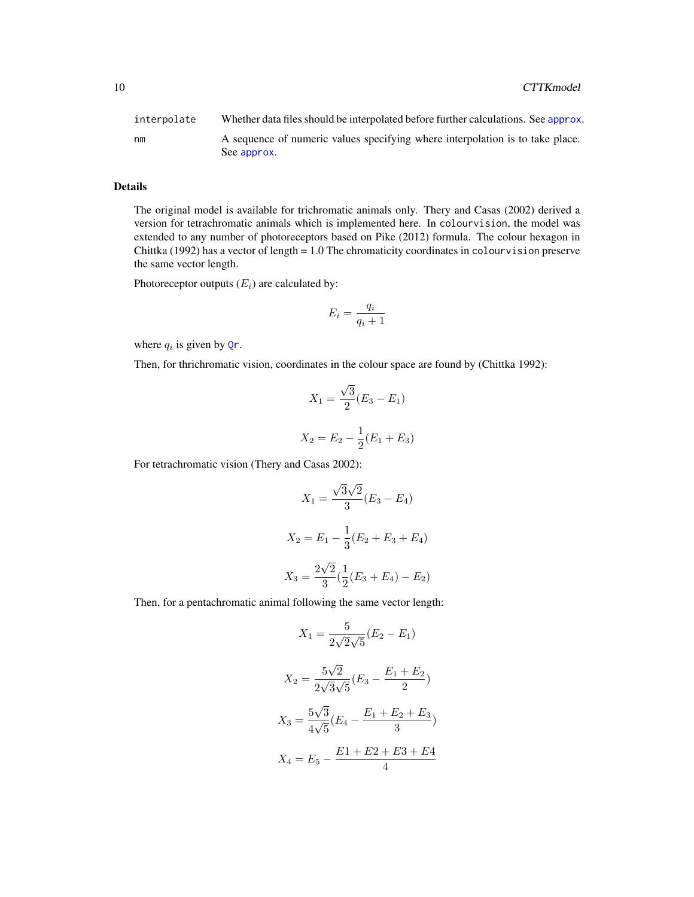<span id="page-9-0"></span>

| interpolate | Whether data files should be interpolated before further calculations. See approx.           |
|-------------|----------------------------------------------------------------------------------------------|
| nm          | A sequence of numeric values specifying where interpolation is to take place.<br>See approx. |

# Details

The original model is available for trichromatic animals only. Thery and Casas (2002) derived a version for tetrachromatic animals which is implemented here. In colourvision, the model was extended to any number of photoreceptors based on Pike (2012) formula. The colour hexagon in Chittka (1992) has a vector of length  $= 1.0$  The chromaticity coordinates in colour vision preserve the same vector length.

Photoreceptor outputs  $(E_i)$  are calculated by:

$$
E_i = \frac{q_i}{q_i + 1}
$$

where  $q_i$  is given by [Qr](#page-24-1).

Then, for thrichromatic vision, coordinates in the colour space are found by (Chittka 1992):

$$
X_1 = \frac{\sqrt{3}}{2}(E_3 - E_1)
$$
  

$$
X_2 = E_2 - \frac{1}{2}(E_1 + E_3)
$$

For tetrachromatic vision (Thery and Casas 2002):

$$
X_1 = \frac{\sqrt{3}\sqrt{2}}{3}(E_3 - E_4)
$$

$$
X_2 = E_1 - \frac{1}{3}(E_2 + E_3 + E_4)
$$

$$
X_3 = \frac{2\sqrt{2}}{3}(\frac{1}{2}(E_3 + E_4) - E_2)
$$

Then, for a pentachromatic animal following the same vector length:

$$
X_1 = \frac{5}{2\sqrt{2}\sqrt{5}} (E_2 - E_1)
$$

$$
X_2 = \frac{5\sqrt{2}}{2\sqrt{3}\sqrt{5}} (E_3 - \frac{E_1 + E_2}{2})
$$

$$
X_3 = \frac{5\sqrt{3}}{4\sqrt{5}} (E_4 - \frac{E_1 + E_2 + E_3}{3})
$$

$$
X_4 = E_5 - \frac{E_1 + E_2 + E_3 + E_4}{4}
$$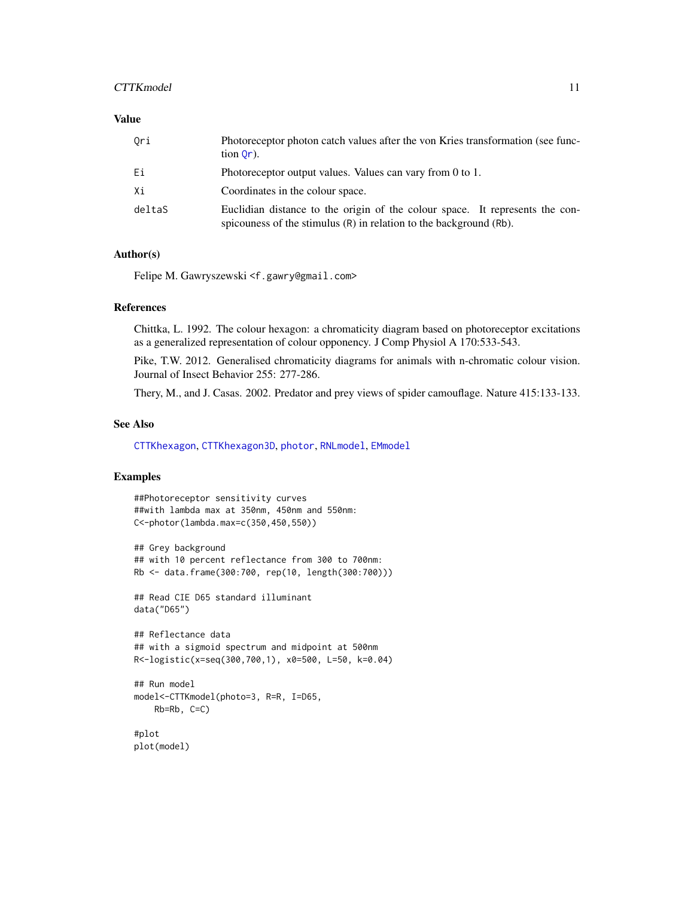#### <span id="page-10-0"></span>CTTKmodel 11

### Value

| Ori    | Photoreceptor photon catch values after the von Kries transformation (see func-<br>$\[\text{tion } \mathsf{Or} \]$ .                                    |
|--------|---------------------------------------------------------------------------------------------------------------------------------------------------------|
| Еi     | Photoreceptor output values. Values can vary from 0 to 1.                                                                                               |
| Хi     | Coordinates in the colour space.                                                                                                                        |
| deltaS | Euclidian distance to the origin of the colour space. It represents the con-<br>spicouness of the stimulus $(R)$ in relation to the background $(Rb)$ . |

# Author(s)

Felipe M. Gawryszewski <f.gawry@gmail.com>

#### References

Chittka, L. 1992. The colour hexagon: a chromaticity diagram based on photoreceptor excitations as a generalized representation of colour opponency. J Comp Physiol A 170:533-543.

Pike, T.W. 2012. Generalised chromaticity diagrams for animals with n-chromatic colour vision. Journal of Insect Behavior 255: 277-286.

Thery, M., and J. Casas. 2002. Predator and prey views of spider camouflage. Nature 415:133-133.

#### See Also

[CTTKhexagon](#page-5-1), [CTTKhexagon3D](#page-7-1), [photor](#page-19-1), [RNLmodel](#page-26-1), [EMmodel](#page-11-1)

#### Examples

```
##Photoreceptor sensitivity curves
##with lambda max at 350nm, 450nm and 550nm:
C<-photor(lambda.max=c(350,450,550))
## Grey background
## with 10 percent reflectance from 300 to 700nm:
Rb <- data.frame(300:700, rep(10, length(300:700)))
## Read CIE D65 standard illuminant
data("D65")
## Reflectance data
## with a sigmoid spectrum and midpoint at 500nm
R<-logistic(x=seq(300,700,1), x0=500, L=50, k=0.04)
## Run model
model<-CTTKmodel(photo=3, R=R, I=D65,
    Rb=Rb, C=C)
#plot
plot(model)
```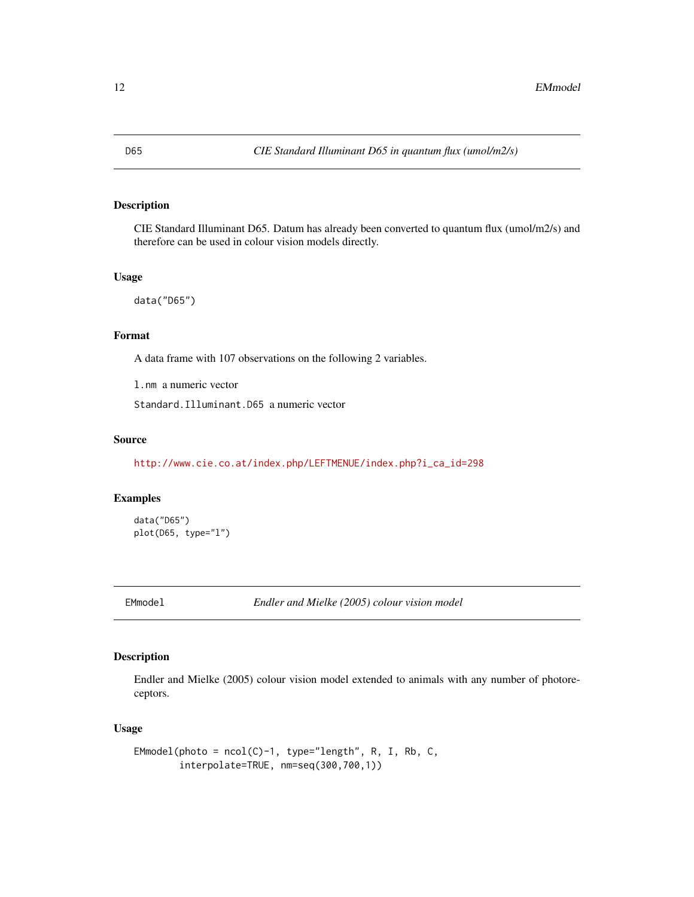# <span id="page-11-0"></span>Description

CIE Standard Illuminant D65. Datum has already been converted to quantum flux (umol/m2/s) and therefore can be used in colour vision models directly.

#### Usage

data("D65")

#### Format

A data frame with 107 observations on the following 2 variables.

l.nm a numeric vector

Standard.Illuminant.D65 a numeric vector

#### Source

[http://www.cie.co.at/index.php/LEFTMENUE/index.php?i\\_ca\\_id=298](http://www.cie.co.at/index.php/LEFTMENUE/index.php?i_ca_id=298)

# Examples

data("D65") plot(D65, type="l")

<span id="page-11-1"></span>EMmodel *Endler and Mielke (2005) colour vision model*

# Description

Endler and Mielke (2005) colour vision model extended to animals with any number of photoreceptors.

#### Usage

```
EMmodel(photo = ncol(C)-1, type="length", R, I, Rb, C,
        interpolate=TRUE, nm=seq(300,700,1))
```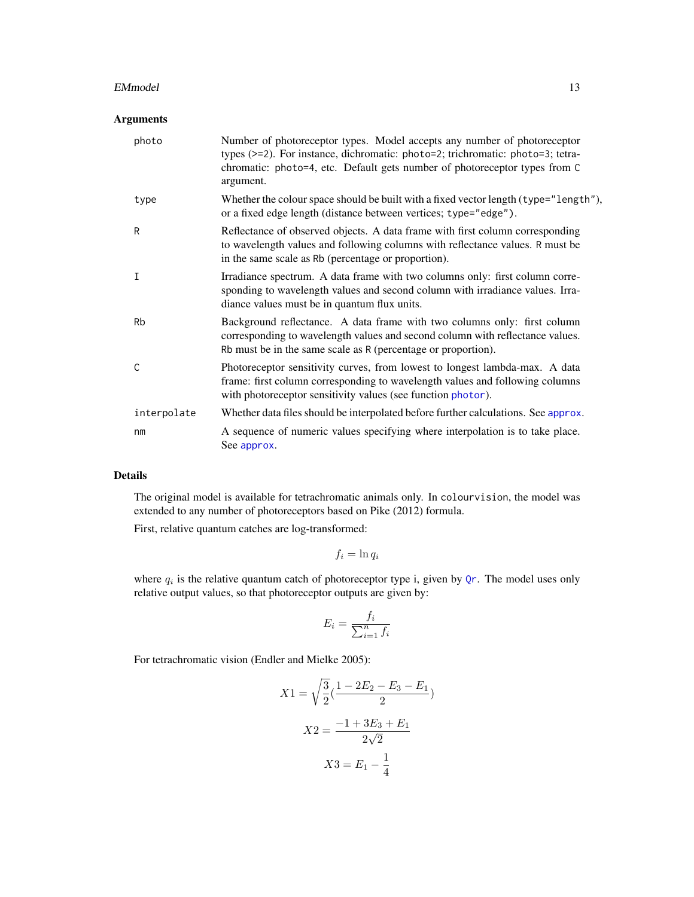#### <span id="page-12-0"></span>EMmodel and the state of the state of the state of the state of the state of the state of the state of the state of the state of the state of the state of the state of the state of the state of the state of the state of th

# Arguments

| photo          | Number of photoreceptor types. Model accepts any number of photoreceptor<br>types (>=2). For instance, dichromatic: photo=2; trichromatic: photo=3; tetra-<br>chromatic: photo=4, etc. Default gets number of photoreceptor types from C<br>argument. |
|----------------|-------------------------------------------------------------------------------------------------------------------------------------------------------------------------------------------------------------------------------------------------------|
| type           | Whether the colour space should be built with a fixed vector length (type="length"),<br>or a fixed edge length (distance between vertices; type="edge").                                                                                              |
| R              | Reflectance of observed objects. A data frame with first column corresponding<br>to wavelength values and following columns with reflectance values. R must be<br>in the same scale as Rb (percentage or proportion).                                 |
| Ι              | Irradiance spectrum. A data frame with two columns only: first column corre-<br>sponding to wavelength values and second column with irradiance values. Irra-<br>diance values must be in quantum flux units.                                         |
| <b>Rb</b>      | Background reflectance. A data frame with two columns only: first column<br>corresponding to wavelength values and second column with reflectance values.<br>Rb must be in the same scale as R (percentage or proportion).                            |
| C              | Photoreceptor sensitivity curves, from lowest to longest lambda-max. A data<br>frame: first column corresponding to wavelength values and following columns<br>with photoreceptor sensitivity values (see function photor).                           |
| interpolate    | Whether data files should be interpolated before further calculations. See approx.                                                                                                                                                                    |
| n <sub>m</sub> | A sequence of numeric values specifying where interpolation is to take place.<br>See approx.                                                                                                                                                          |

# Details

The original model is available for tetrachromatic animals only. In colourvision, the model was extended to any number of photoreceptors based on Pike (2012) formula.

First, relative quantum catches are log-transformed:

$$
f_i = \ln q_i
$$

where  $q_i$  is the relative quantum catch of photoreceptor type i, given by  $Qr$ . The model uses only relative output values, so that photoreceptor outputs are given by:

$$
E_i = \frac{f_i}{\sum_{i=1}^n f_i}
$$

For tetrachromatic vision (Endler and Mielke 2005):

$$
X1 = \sqrt{\frac{3}{2}} \left( \frac{1 - 2E_2 - E_3 - E_1}{2} \right)
$$

$$
X2 = \frac{-1 + 3E_3 + E_1}{2\sqrt{2}}
$$

$$
X3 = E_1 - \frac{1}{4}
$$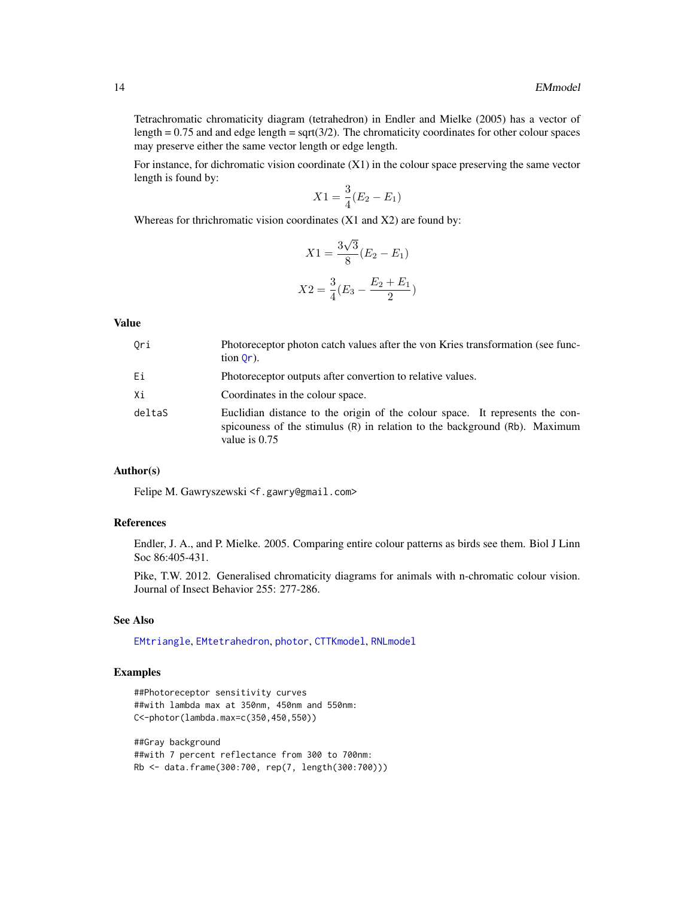<span id="page-13-0"></span>Tetrachromatic chromaticity diagram (tetrahedron) in Endler and Mielke (2005) has a vector of length  $= 0.75$  and and edge length  $=$  sqrt( $3/2$ ). The chromaticity coordinates for other colour spaces may preserve either the same vector length or edge length.

For instance, for dichromatic vision coordinate (X1) in the colour space preserving the same vector length is found by:

$$
X1 = \frac{3}{4}(E_2 - E_1)
$$

Whereas for thrichromatic vision coordinates (X1 and X2) are found by:

$$
X1 = \frac{3\sqrt{3}}{8}(E_2 - E_1)
$$

$$
X2 = \frac{3}{4}(E_3 - \frac{E_2 + E_1}{2})
$$

# Value

| Ori    | Photoreceptor photon catch values after the von Kries transformation (see func-<br>$\[\text{tion } \mathsf{Or} \]$ .                                                          |
|--------|-------------------------------------------------------------------------------------------------------------------------------------------------------------------------------|
| Еi     | Photoreceptor outputs after convertion to relative values.                                                                                                                    |
| Хi     | Coordinates in the colour space.                                                                                                                                              |
| deltaS | Euclidian distance to the origin of the colour space. It represents the con-<br>spicouness of the stimulus (R) in relation to the background (Rb). Maximum<br>value is $0.75$ |

#### Author(s)

Felipe M. Gawryszewski <f.gawry@gmail.com>

#### References

Endler, J. A., and P. Mielke. 2005. Comparing entire colour patterns as birds see them. Biol J Linn Soc 86:405-431.

Pike, T.W. 2012. Generalised chromaticity diagrams for animals with n-chromatic colour vision. Journal of Insect Behavior 255: 277-286.

### See Also

[EMtriangle](#page-15-1), [EMtetrahedron](#page-14-1), [photor](#page-19-1), [CTTKmodel](#page-8-1), [RNLmodel](#page-26-1)

#### Examples

```
##Photoreceptor sensitivity curves
##with lambda max at 350nm, 450nm and 550nm:
C<-photor(lambda.max=c(350,450,550))
```
##Gray background ##with 7 percent reflectance from 300 to 700nm: Rb <- data.frame(300:700, rep(7, length(300:700)))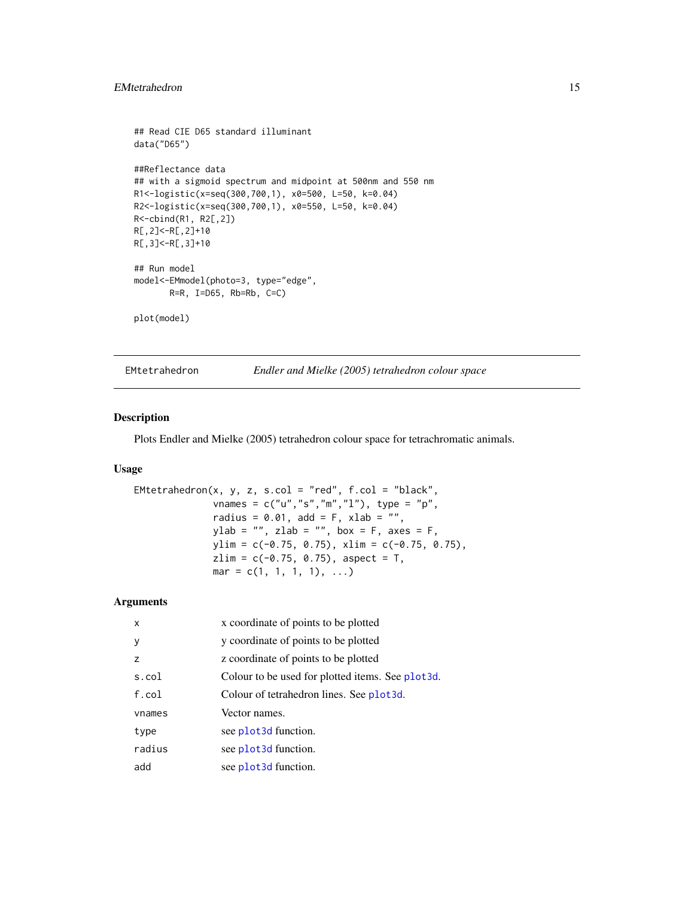# <span id="page-14-0"></span>EMtetrahedron 15

```
## Read CIE D65 standard illuminant
data("D65")
##Reflectance data
## with a sigmoid spectrum and midpoint at 500nm and 550 nm
R1<-logistic(x=seq(300,700,1), x0=500, L=50, k=0.04)
R2<-logistic(x=seq(300,700,1), x0=550, L=50, k=0.04)
R<-cbind(R1, R2[,2])
R[,2]<-R[,2]+10
R[,3]<-R[,3]+10
## Run model
model<-EMmodel(photo=3, type="edge",
       R=R, I=D65, Rb=Rb, C=C)
plot(model)
```
<span id="page-14-1"></span>EMtetrahedron *Endler and Mielke (2005) tetrahedron colour space*

### Description

Plots Endler and Mielke (2005) tetrahedron colour space for tetrachromatic animals.

#### Usage

```
Entetrahedron(x, y, z, s,col = "red", f,col = "black",vnames = c("u", "s", "m", "l"), type = "p",
             radius = 0.01, add = F, xlab = ",
             ylab = "", zlab = "", box = F, axes = F,
             ylim = c(-0.75, 0.75), xlim = c(-0.75, 0.75),zlim = c(-0.75, 0.75), aspect = T,
             mar = c(1, 1, 1, 1), ...
```
#### Arguments

| $\mathsf{x}$   | x coordinate of points to be plotted             |
|----------------|--------------------------------------------------|
| y              | y coordinate of points to be plotted             |
| $\overline{z}$ | z coordinate of points to be plotted             |
| s.col          | Colour to be used for plotted items. See plot3d. |
| $f$ .col       | Colour of tetrahedron lines. See plot3d.         |
| vnames         | Vector names.                                    |
| type           | see plot3d function.                             |
| radius         | see plot3d function.                             |
| add            | see plot3d function.                             |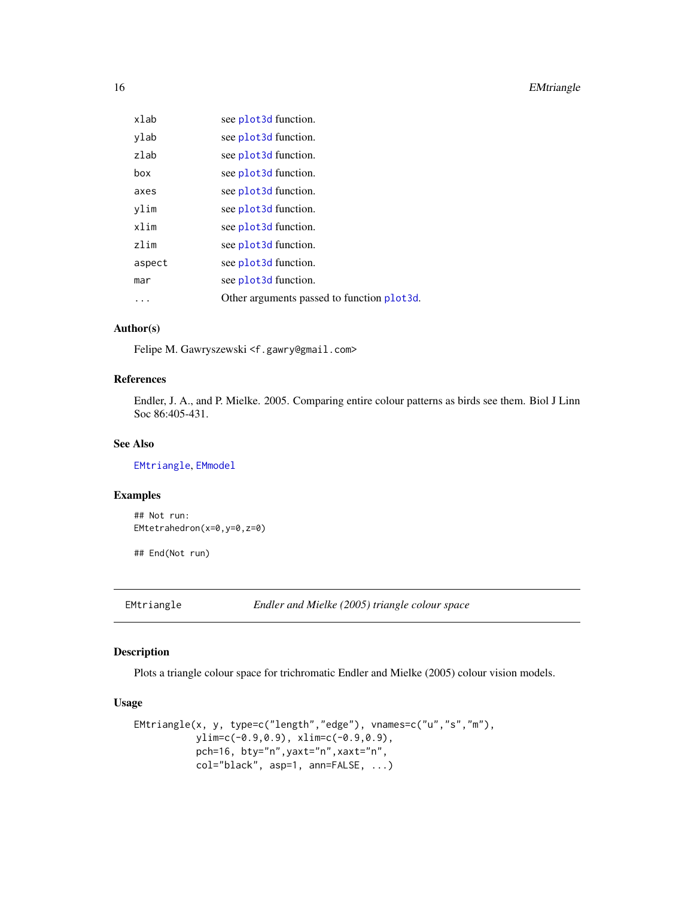<span id="page-15-0"></span>

| xlab   | see plot3d function.                       |
|--------|--------------------------------------------|
| ylab   | see plot3d function.                       |
| zlah   | see plot3d function.                       |
| box    | see plot3d function.                       |
| axes   | see plot3d function.                       |
| ylim   | see plot3d function.                       |
| xlim   | see plot3d function.                       |
| zlim   | see plot3d function.                       |
| aspect | see plot3d function.                       |
| mar    | see plot3d function.                       |
|        | Other arguments passed to function plot3d. |
|        |                                            |

#### Author(s)

Felipe M. Gawryszewski <f.gawry@gmail.com>

# References

Endler, J. A., and P. Mielke. 2005. Comparing entire colour patterns as birds see them. Biol J Linn Soc 86:405-431.

# See Also

[EMtriangle](#page-15-1), [EMmodel](#page-11-1)

## Examples

```
## Not run:
EMtetrahedron(x=0,y=0,z=0)
```
## End(Not run)

<span id="page-15-1"></span>EMtriangle *Endler and Mielke (2005) triangle colour space*

# Description

Plots a triangle colour space for trichromatic Endler and Mielke (2005) colour vision models.

#### Usage

```
EMtriangle(x, y, type=c("length","edge"), vnames=c("u","s","m"),
          ylim=c(-0.9,0.9), xlim=c(-0.9,0.9),
          pch=16, bty="n",yaxt="n",xaxt="n",
           col="black", asp=1, ann=FALSE, ...)
```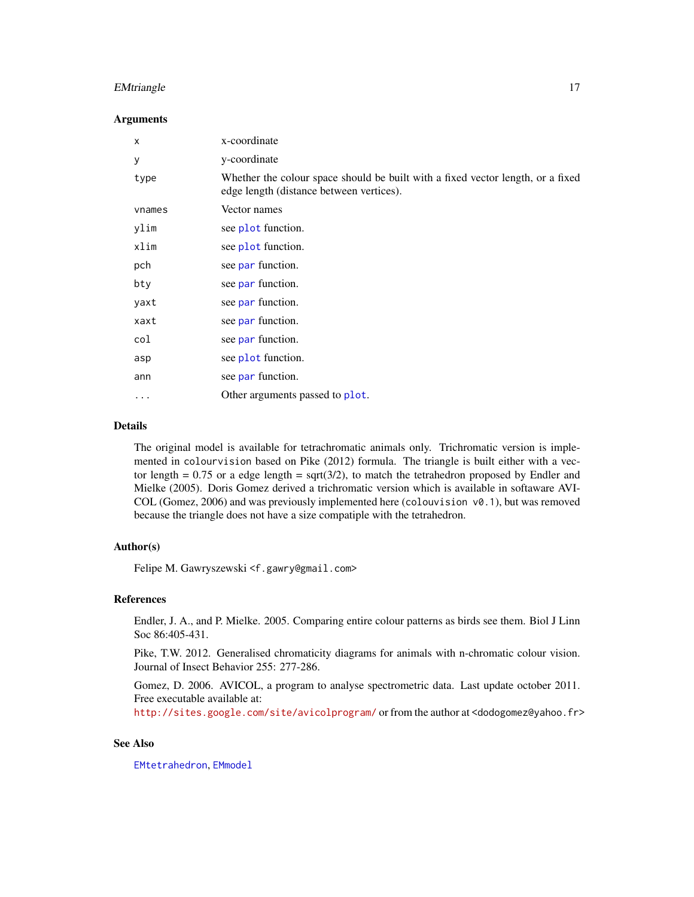# <span id="page-16-0"></span>EMtriangle 17

#### Arguments

| X      | x-coordinate                                                                                                                |
|--------|-----------------------------------------------------------------------------------------------------------------------------|
| У      | y-coordinate                                                                                                                |
| type   | Whether the colour space should be built with a fixed vector length, or a fixed<br>edge length (distance between vertices). |
| vnames | Vector names                                                                                                                |
| ylim   | see plot function.                                                                                                          |
| xlim   | see plot function.                                                                                                          |
| pch    | see par function.                                                                                                           |
| bty    | see par function.                                                                                                           |
| yaxt   | see par function.                                                                                                           |
| xaxt   | see par function.                                                                                                           |
| col    | see par function.                                                                                                           |
| asp    | see plot function.                                                                                                          |
| ann    | see par function.                                                                                                           |
| .      | Other arguments passed to plot.                                                                                             |

# Details

The original model is available for tetrachromatic animals only. Trichromatic version is implemented in colourvision based on Pike (2012) formula. The triangle is built either with a vector length =  $0.75$  or a edge length =  $sqrt(3/2)$ , to match the tetrahedron proposed by Endler and Mielke (2005). Doris Gomez derived a trichromatic version which is available in softaware AVI-COL (Gomez, 2006) and was previously implemented here (colouvision  $v\theta$ .1), but was removed because the triangle does not have a size compatiple with the tetrahedron.

#### Author(s)

Felipe M. Gawryszewski <f.gawry@gmail.com>

#### References

Endler, J. A., and P. Mielke. 2005. Comparing entire colour patterns as birds see them. Biol J Linn Soc 86:405-431.

Pike, T.W. 2012. Generalised chromaticity diagrams for animals with n-chromatic colour vision. Journal of Insect Behavior 255: 277-286.

Gomez, D. 2006. AVICOL, a program to analyse spectrometric data. Last update october 2011. Free executable available at:

<http://sites.google.com/site/avicolprogram/> or from the author at <dodogomez@yahoo.fr>

#### See Also

[EMtetrahedron](#page-14-1), [EMmodel](#page-11-1)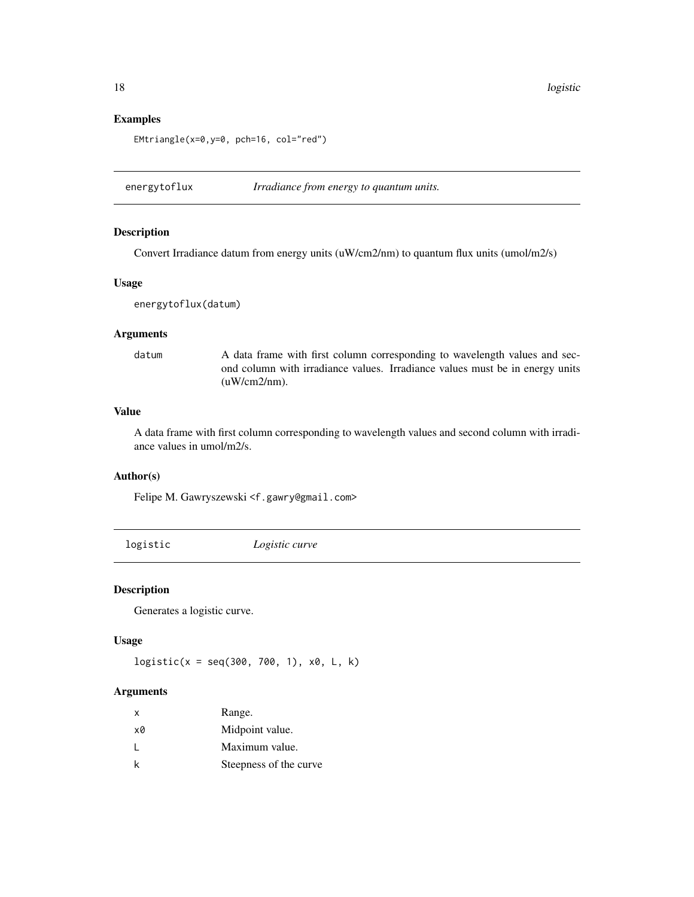# Examples

EMtriangle(x=0,y=0, pch=16, col="red")

energytoflux *Irradiance from energy to quantum units.*

# Description

Convert Irradiance datum from energy units (uW/cm2/nm) to quantum flux units (umol/m2/s)

#### Usage

energytoflux(datum)

### Arguments

datum A data frame with first column corresponding to wavelength values and second column with irradiance values. Irradiance values must be in energy units (uW/cm2/nm).

# Value

A data frame with first column corresponding to wavelength values and second column with irradiance values in umol/m2/s.

# Author(s)

Felipe M. Gawryszewski <f.gawry@gmail.com>

logistic *Logistic curve*

#### Description

Generates a logistic curve.

# Usage

 $logistic(x = seq(300, 700, 1), x0, L, k)$ 

# Arguments

| X            | Range.                 |
|--------------|------------------------|
| x0           | Midpoint value.        |
| $\mathbf{I}$ | Maximum value.         |
| k            | Steepness of the curve |

<span id="page-17-0"></span>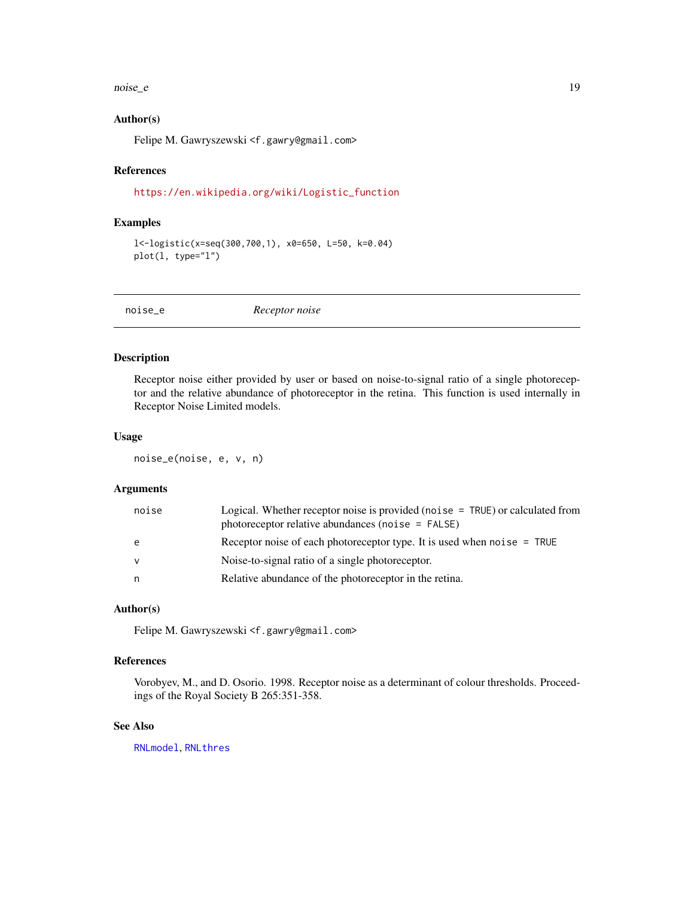#### <span id="page-18-0"></span>noise\_e 19

#### Author(s)

Felipe M. Gawryszewski <f.gawry@gmail.com>

# References

[https://en.wikipedia.org/wiki/Logistic\\_function](https://en.wikipedia.org/wiki/Logistic_function)

# Examples

```
l<-logistic(x=seq(300,700,1), x0=650, L=50, k=0.04)
plot(l, type="l")
```
noise\_e *Receptor noise*

#### Description

Receptor noise either provided by user or based on noise-to-signal ratio of a single photoreceptor and the relative abundance of photoreceptor in the retina. This function is used internally in Receptor Noise Limited models.

# Usage

noise\_e(noise, e, v, n)

#### Arguments

| noise        | Logical. Whether receptor noise is provided (noise $=$ TRUE) or calculated from<br>photoreceptor relative abundances (noise $=$ FALSE) |
|--------------|----------------------------------------------------------------------------------------------------------------------------------------|
| e            | Receptor noise of each photoreceptor type. It is used when noise = TRUE                                                                |
| $\mathsf{V}$ | Noise-to-signal ratio of a single photoreceptor.                                                                                       |
| n            | Relative abundance of the photoreceptor in the retina.                                                                                 |

#### Author(s)

Felipe M. Gawryszewski <f.gawry@gmail.com>

#### References

Vorobyev, M., and D. Osorio. 1998. Receptor noise as a determinant of colour thresholds. Proceedings of the Royal Society B 265:351-358.

# See Also

[RNLmodel](#page-26-1), [RNLthres](#page-29-1)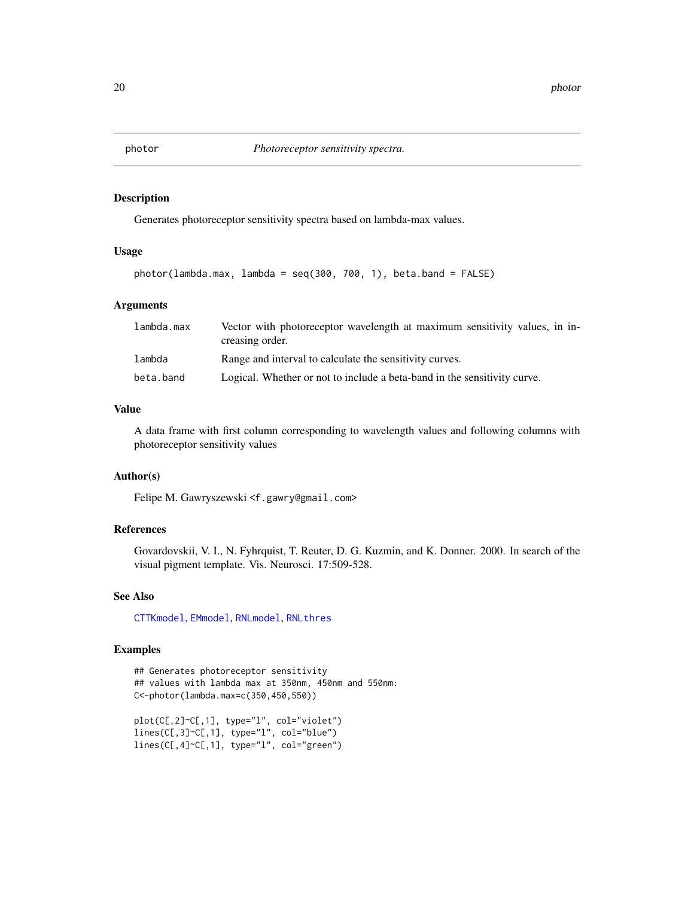<span id="page-19-1"></span><span id="page-19-0"></span>

# Description

Generates photoreceptor sensitivity spectra based on lambda-max values.

#### Usage

```
photor(lambda.max, lambda = seq(300, 700, 1), beta.band = FALSE)
```
# Arguments

| lambda.max | Vector with photoreceptor wavelength at maximum sensitivity values, in in-<br>creasing order. |
|------------|-----------------------------------------------------------------------------------------------|
| lambda     | Range and interval to calculate the sensitivity curves.                                       |
| beta.band  | Logical. Whether or not to include a beta-band in the sensitivity curve.                      |

#### Value

A data frame with first column corresponding to wavelength values and following columns with photoreceptor sensitivity values

# Author(s)

Felipe M. Gawryszewski <f.gawry@gmail.com>

# References

Govardovskii, V. I., N. Fyhrquist, T. Reuter, D. G. Kuzmin, and K. Donner. 2000. In search of the visual pigment template. Vis. Neurosci. 17:509-528.

# See Also

[CTTKmodel](#page-8-1), [EMmodel](#page-11-1), [RNLmodel](#page-26-1), [RNLthres](#page-29-1)

# Examples

```
## Generates photoreceptor sensitivity
## values with lambda max at 350nm, 450nm and 550nm:
C<-photor(lambda.max=c(350,450,550))
plot(C[,2]~C[,1], type="l", col="violet")
lines(C[,3]~C[,1], type="l", col="blue")
lines(C[,4]~C[,1], type="l", col="green")
```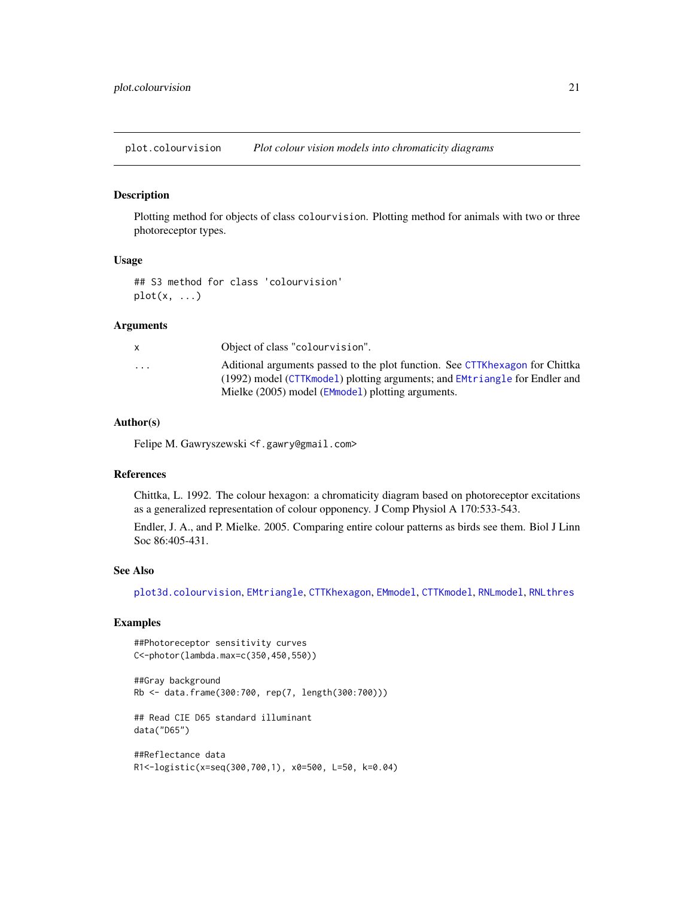<span id="page-20-1"></span><span id="page-20-0"></span>plot.colourvision *Plot colour vision models into chromaticity diagrams*

#### Description

Plotting method for objects of class colourvision. Plotting method for animals with two or three photoreceptor types.

# Usage

## S3 method for class 'colourvision'  $plot(x, \ldots)$ 

#### Arguments

|                         | Object of class "colourvision".                                              |
|-------------------------|------------------------------------------------------------------------------|
| $\cdot$ $\cdot$ $\cdot$ | Aditional arguments passed to the plot function. See CTTKhexagon for Chittka |
|                         | (1992) model (CTTKmodel) plotting arguments; and EMtriangle for Endler and   |
|                         | Mielke (2005) model (EMmodel) plotting arguments.                            |

# Author(s)

Felipe M. Gawryszewski <f.gawry@gmail.com>

#### References

Chittka, L. 1992. The colour hexagon: a chromaticity diagram based on photoreceptor excitations as a generalized representation of colour opponency. J Comp Physiol A 170:533-543.

Endler, J. A., and P. Mielke. 2005. Comparing entire colour patterns as birds see them. Biol J Linn Soc 86:405-431.

#### See Also

[plot3d.colourvision](#page-21-1), [EMtriangle](#page-15-1), [CTTKhexagon](#page-5-1), [EMmodel](#page-11-1), [CTTKmodel](#page-8-1), [RNLmodel](#page-26-1), [RNLthres](#page-29-1)

# Examples

##Photoreceptor sensitivity curves C<-photor(lambda.max=c(350,450,550))

##Gray background Rb <- data.frame(300:700, rep(7, length(300:700)))

## Read CIE D65 standard illuminant data("D65")

##Reflectance data R1<-logistic(x=seq(300,700,1), x0=500, L=50, k=0.04)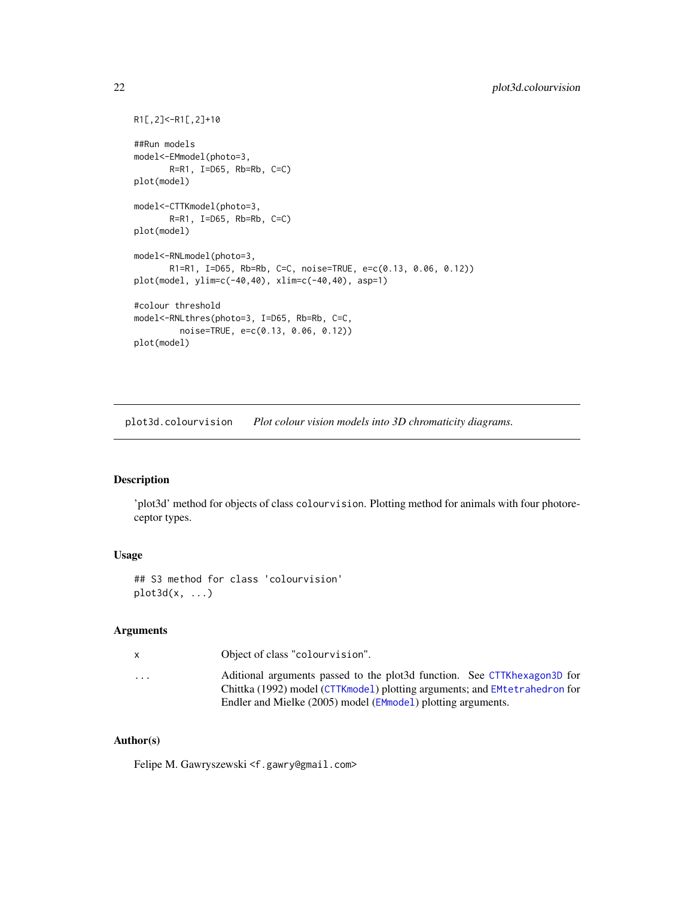```
R1[,2]<-R1[,2]+10
##Run models
model<-EMmodel(photo=3,
       R=R1, I=D65, Rb=Rb, C=C)
plot(model)
model<-CTTKmodel(photo=3,
       R = R1, I = D65, Rb = Rb, C = Cplot(model)
model<-RNLmodel(photo=3,
       R1=R1, I=D65, Rb=Rb, C=C, noise=TRUE, e=c(0.13, 0.06, 0.12))
plot(model, ylim=c(-40,40), xlim=c(-40,40), asp=1)
#colour threshold
model<-RNLthres(photo=3, I=D65, Rb=Rb, C=C,
         noise=TRUE, e=c(0.13, 0.06, 0.12))
plot(model)
```
<span id="page-21-1"></span>plot3d.colourvision *Plot colour vision models into 3D chromaticity diagrams.*

# Description

'plot3d' method for objects of class colourvision. Plotting method for animals with four photoreceptor types.

# Usage

```
## S3 method for class 'colourvision'
plot3d(x, \ldots)
```
# Arguments

| x                       | Object of class "colourvision".                                                                                                                        |
|-------------------------|--------------------------------------------------------------------------------------------------------------------------------------------------------|
| $\cdot$ $\cdot$ $\cdot$ | Aditional arguments passed to the plot3d function. See CTTKhexagon3D for<br>Chittka (1992) model (CTTKmodel) plotting arguments; and EMtetrahedron for |
|                         | Endler and Mielke (2005) model (EMmodel) plotting arguments.                                                                                           |

# Author(s)

Felipe M. Gawryszewski <f.gawry@gmail.com>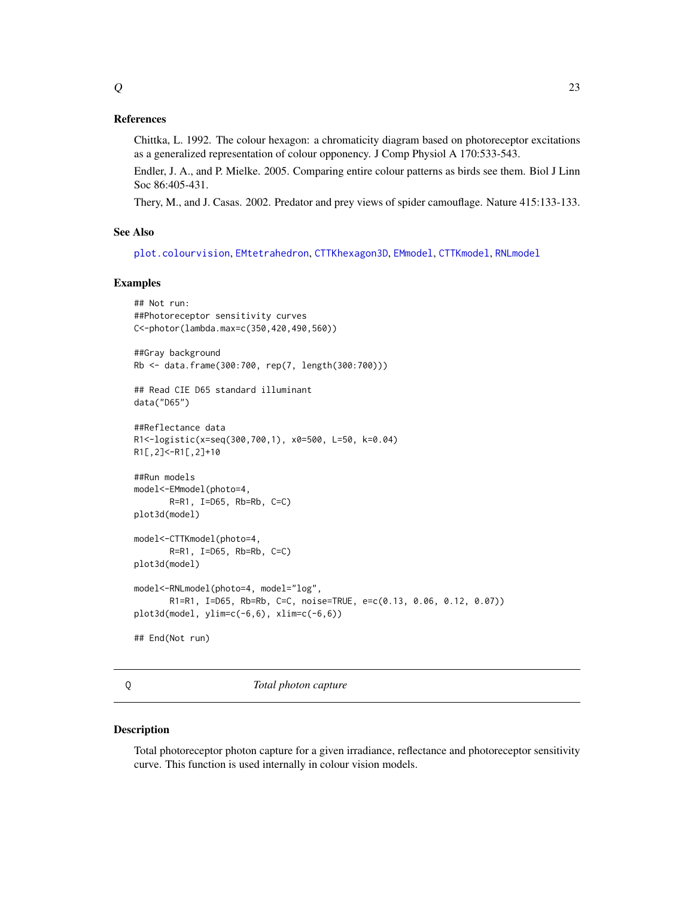<span id="page-22-0"></span>Chittka, L. 1992. The colour hexagon: a chromaticity diagram based on photoreceptor excitations as a generalized representation of colour opponency. J Comp Physiol A 170:533-543.

Endler, J. A., and P. Mielke. 2005. Comparing entire colour patterns as birds see them. Biol J Linn Soc 86:405-431.

Thery, M., and J. Casas. 2002. Predator and prey views of spider camouflage. Nature 415:133-133.

#### See Also

[plot.colourvision](#page-20-1), [EMtetrahedron](#page-14-1), [CTTKhexagon3D](#page-7-1), [EMmodel](#page-11-1), [CTTKmodel](#page-8-1), [RNLmodel](#page-26-1)

#### Examples

```
## Not run:
##Photoreceptor sensitivity curves
C<-photor(lambda.max=c(350,420,490,560))
##Gray background
Rb <- data.frame(300:700, rep(7, length(300:700)))
## Read CIE D65 standard illuminant
data("D65")
##Reflectance data
R1<-logistic(x=seq(300,700,1), x0=500, L=50, k=0.04)
R1[,2]<-R1[,2]+10
##Run models
model<-EMmodel(photo=4,
       R=R1, I=D65, Rb=Rb, C=C)
plot3d(model)
model<-CTTKmodel(photo=4,
       R=R1, I=D65, Rb=Rb, C=C)
plot3d(model)
model<-RNLmodel(photo=4, model="log",
       R1=R1, I=D65, Rb=Rb, C=C, noise=TRUE, e=c(0.13, 0.06, 0.12, 0.07))
plot3d(model, ylim=c(-6,6), xlim=c(-6,6))
## End(Not run)
```
<span id="page-22-1"></span>

#### Q *Total photon capture*

#### Description

Total photoreceptor photon capture for a given irradiance, reflectance and photoreceptor sensitivity curve. This function is used internally in colour vision models.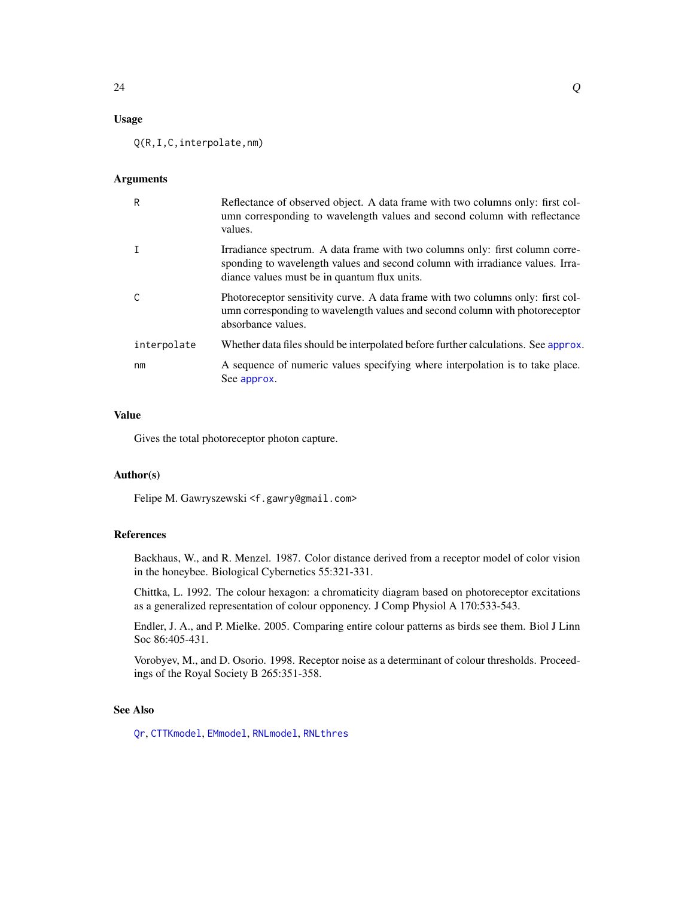# <span id="page-23-0"></span>Usage

Q(R,I,C,interpolate,nm)

#### Arguments

| R           | Reflectance of observed object. A data frame with two columns only: first col-<br>umn corresponding to wavelength values and second column with reflectance<br>values.                                        |
|-------------|---------------------------------------------------------------------------------------------------------------------------------------------------------------------------------------------------------------|
|             | Irradiance spectrum. A data frame with two columns only: first column corre-<br>sponding to wavelength values and second column with irradiance values. Irra-<br>diance values must be in quantum flux units. |
| C           | Photoreceptor sensitivity curve. A data frame with two columns only: first col-<br>umn corresponding to wavelength values and second column with photoreceptor<br>absorbance values.                          |
| interpolate | Whether data files should be interpolated before further calculations. See approx.                                                                                                                            |
| nm          | A sequence of numeric values specifying where interpolation is to take place.<br>See approx.                                                                                                                  |

# Value

Gives the total photoreceptor photon capture.

# Author(s)

Felipe M. Gawryszewski <f.gawry@gmail.com>

# References

Backhaus, W., and R. Menzel. 1987. Color distance derived from a receptor model of color vision in the honeybee. Biological Cybernetics 55:321-331.

Chittka, L. 1992. The colour hexagon: a chromaticity diagram based on photoreceptor excitations as a generalized representation of colour opponency. J Comp Physiol A 170:533-543.

Endler, J. A., and P. Mielke. 2005. Comparing entire colour patterns as birds see them. Biol J Linn Soc 86:405-431.

Vorobyev, M., and D. Osorio. 1998. Receptor noise as a determinant of colour thresholds. Proceedings of the Royal Society B 265:351-358.

# See Also

[Qr](#page-24-1), [CTTKmodel](#page-8-1), [EMmodel](#page-11-1), [RNLmodel](#page-26-1), [RNLthres](#page-29-1)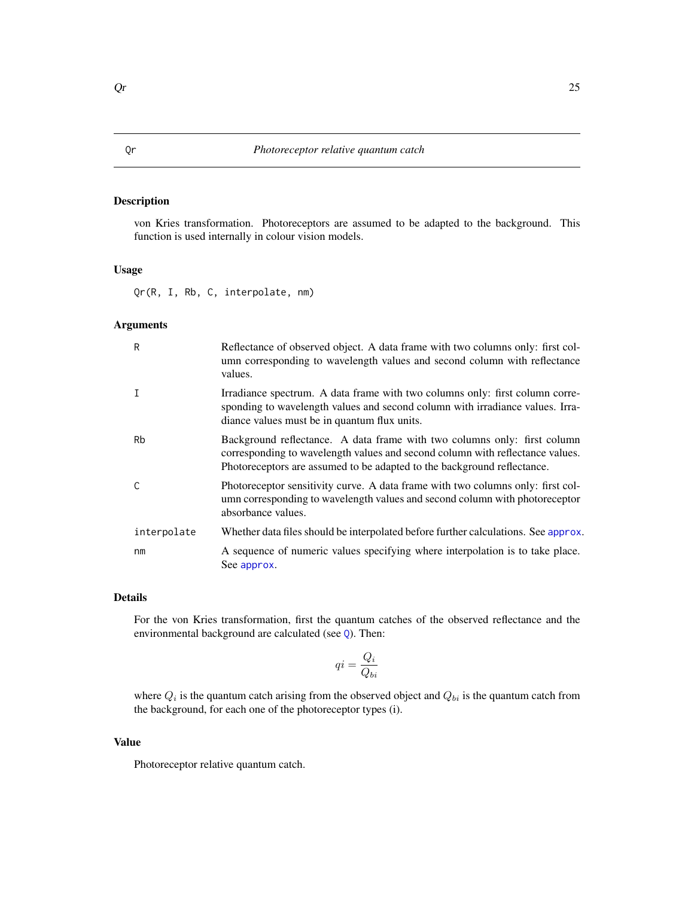# <span id="page-24-1"></span><span id="page-24-0"></span>Description

von Kries transformation. Photoreceptors are assumed to be adapted to the background. This function is used internally in colour vision models.

# Usage

Qr(R, I, Rb, C, interpolate, nm)

# Arguments

| R           | Reflectance of observed object. A data frame with two columns only: first col-<br>umn corresponding to wavelength values and second column with reflectance<br>values.                                                               |
|-------------|--------------------------------------------------------------------------------------------------------------------------------------------------------------------------------------------------------------------------------------|
|             | Irradiance spectrum. A data frame with two columns only: first column corre-<br>sponding to wavelength values and second column with irradiance values. Irra-<br>diance values must be in quantum flux units.                        |
| Rb          | Background reflectance. A data frame with two columns only: first column<br>corresponding to wavelength values and second column with reflectance values.<br>Photoreceptors are assumed to be adapted to the background reflectance. |
| C           | Photoreceptor sensitivity curve. A data frame with two columns only: first col-<br>umn corresponding to wavelength values and second column with photoreceptor<br>absorbance values.                                                 |
| interpolate | Whether data files should be interpolated before further calculations. See approx.                                                                                                                                                   |
| nm          | A sequence of numeric values specifying where interpolation is to take place.<br>See approx.                                                                                                                                         |

#### Details

For the von Kries transformation, first the quantum catches of the observed reflectance and the environmental background are calculated (see [Q](#page-22-1)). Then:

$$
qi = \frac{Q_i}{Q_{bi}}
$$

where  $Q_i$  is the quantum catch arising from the observed object and  $Q_{bi}$  is the quantum catch from the background, for each one of the photoreceptor types (i).

# Value

Photoreceptor relative quantum catch.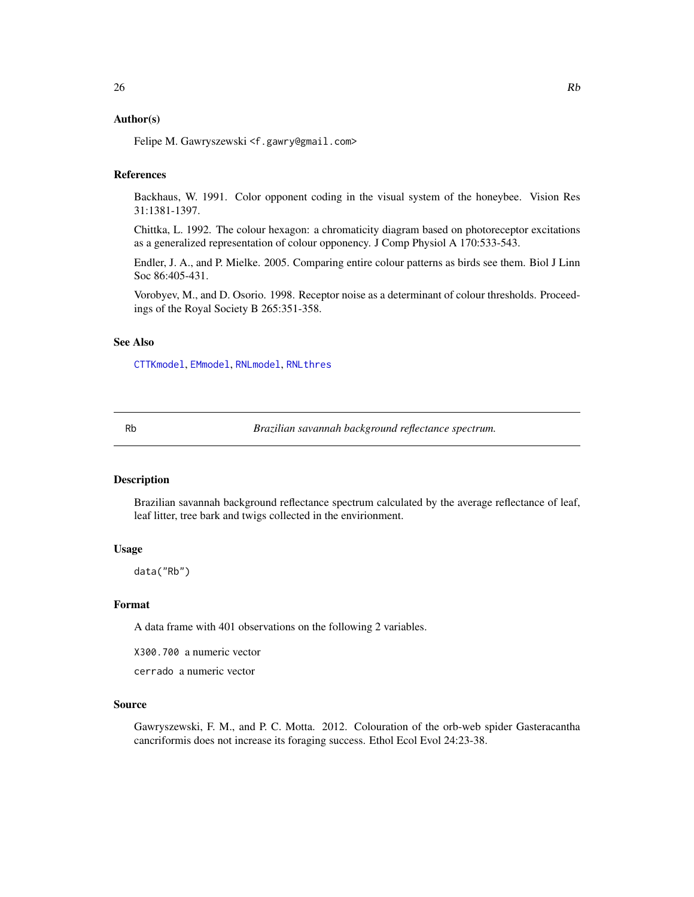# <span id="page-25-0"></span>Author(s)

Felipe M. Gawryszewski <f.gawry@gmail.com>

# References

Backhaus, W. 1991. Color opponent coding in the visual system of the honeybee. Vision Res 31:1381-1397.

Chittka, L. 1992. The colour hexagon: a chromaticity diagram based on photoreceptor excitations as a generalized representation of colour opponency. J Comp Physiol A 170:533-543.

Endler, J. A., and P. Mielke. 2005. Comparing entire colour patterns as birds see them. Biol J Linn Soc 86:405-431.

Vorobyev, M., and D. Osorio. 1998. Receptor noise as a determinant of colour thresholds. Proceedings of the Royal Society B 265:351-358.

# See Also

[CTTKmodel](#page-8-1), [EMmodel](#page-11-1), [RNLmodel](#page-26-1), [RNLthres](#page-29-1)

Rb *Brazilian savannah background reflectance spectrum.*

# **Description**

Brazilian savannah background reflectance spectrum calculated by the average reflectance of leaf, leaf litter, tree bark and twigs collected in the envirionment.

### Usage

data("Rb")

#### Format

A data frame with 401 observations on the following 2 variables.

X300.700 a numeric vector

cerrado a numeric vector

#### Source

Gawryszewski, F. M., and P. C. Motta. 2012. Colouration of the orb-web spider Gasteracantha cancriformis does not increase its foraging success. Ethol Ecol Evol 24:23-38.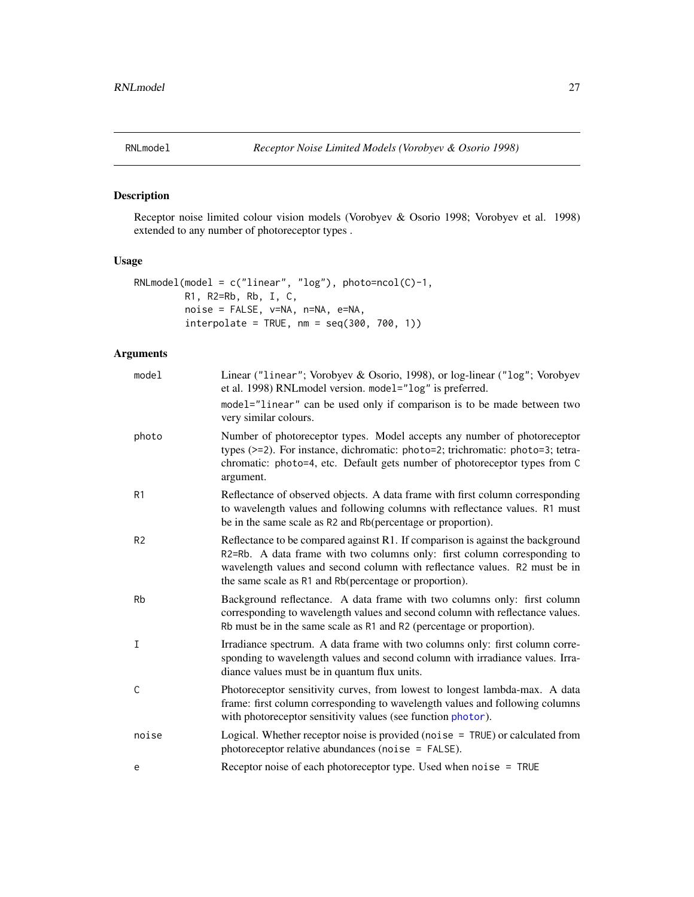<span id="page-26-1"></span><span id="page-26-0"></span>

# Description

Receptor noise limited colour vision models (Vorobyev & Osorio 1998; Vorobyev et al. 1998) extended to any number of photoreceptor types .

# Usage

```
RNLmodel(model = c("linear", "log"), photo=ncol(C)-1,
        R1, R2=Rb, Rb, I, C,
        noise = FALSE, v=NA, n=NA, e=NA,
        interpolate = TRUE, nm = seq(300, 700, 1))
```
# Arguments

| model          | Linear ("linear"; Vorobyev & Osorio, 1998), or log-linear ("log"; Vorobyev<br>et al. 1998) RNLmodel version. model="log" is preferred.<br>model="linear" can be used only if comparison is to be made between two                                                                                  |
|----------------|----------------------------------------------------------------------------------------------------------------------------------------------------------------------------------------------------------------------------------------------------------------------------------------------------|
|                | very similar colours.                                                                                                                                                                                                                                                                              |
| photo          | Number of photoreceptor types. Model accepts any number of photoreceptor<br>types (>=2). For instance, dichromatic: photo=2; trichromatic: photo=3; tetra-<br>chromatic: photo=4, etc. Default gets number of photoreceptor types from C<br>argument.                                              |
| R <sub>1</sub> | Reflectance of observed objects. A data frame with first column corresponding<br>to wavelength values and following columns with reflectance values. R1 must<br>be in the same scale as R2 and Rb(percentage or proportion).                                                                       |
| R <sub>2</sub> | Reflectance to be compared against R1. If comparison is against the background<br>R2=Rb. A data frame with two columns only: first column corresponding to<br>wavelength values and second column with reflectance values. R2 must be in<br>the same scale as R1 and Rb(percentage or proportion). |
| Rb             | Background reflectance. A data frame with two columns only: first column<br>corresponding to wavelength values and second column with reflectance values.<br>Rb must be in the same scale as R1 and R2 (percentage or proportion).                                                                 |
| I              | Irradiance spectrum. A data frame with two columns only: first column corre-<br>sponding to wavelength values and second column with irradiance values. Irra-<br>diance values must be in quantum flux units.                                                                                      |
| $\mathsf{C}$   | Photoreceptor sensitivity curves, from lowest to longest lambda-max. A data<br>frame: first column corresponding to wavelength values and following columns<br>with photoreceptor sensitivity values (see function photor).                                                                        |
| noise          | Logical. Whether receptor noise is provided (noise $=$ TRUE) or calculated from<br>photoreceptor relative abundances (noise = FALSE).                                                                                                                                                              |
| e              | Receptor noise of each photoreceptor type. Used when noise = TRUE                                                                                                                                                                                                                                  |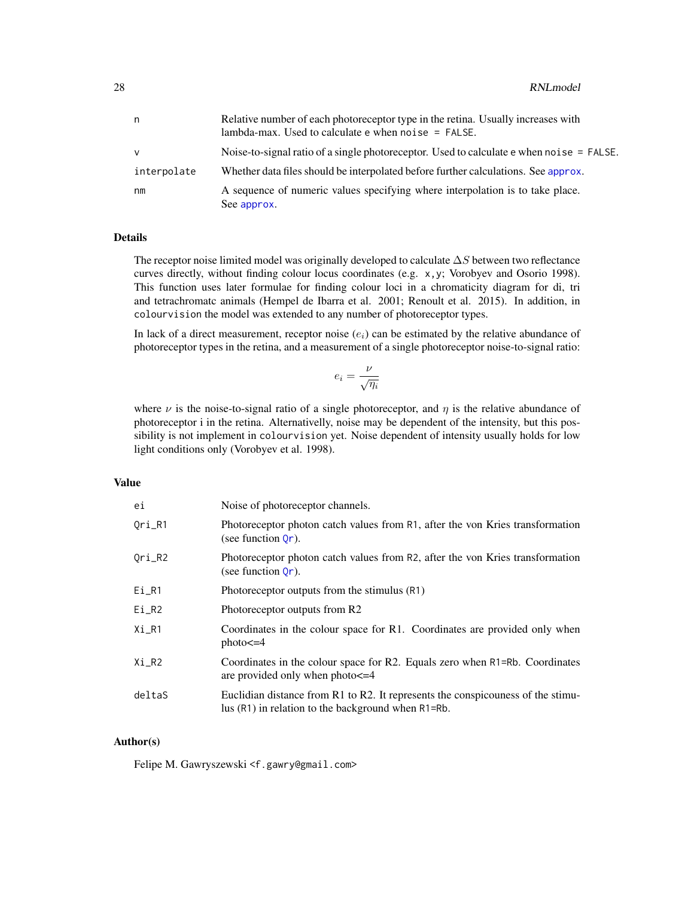<span id="page-27-0"></span>

| n           | Relative number of each photoreceptor type in the retina. Usually increases with<br>lambda-max. Used to calculate $e$ when noise $=$ FALSE. |
|-------------|---------------------------------------------------------------------------------------------------------------------------------------------|
| v           | Noise-to-signal ratio of a single photoreceptor. Used to calculate e when noise = FALSE.                                                    |
| interpolate | Whether data files should be interpolated before further calculations. See approx.                                                          |
| nm          | A sequence of numeric values specifying where interpolation is to take place.<br>See approx.                                                |

# Details

The receptor noise limited model was originally developed to calculate  $\Delta S$  between two reflectance curves directly, without finding colour locus coordinates (e.g. x,y; Vorobyev and Osorio 1998). This function uses later formulae for finding colour loci in a chromaticity diagram for di, tri and tetrachromatc animals (Hempel de Ibarra et al. 2001; Renoult et al. 2015). In addition, in colourvision the model was extended to any number of photoreceptor types.

In lack of a direct measurement, receptor noise  $(e_i)$  can be estimated by the relative abundance of photoreceptor types in the retina, and a measurement of a single photoreceptor noise-to-signal ratio:

$$
e_i = \frac{\nu}{\sqrt{\eta_i}}
$$

where  $\nu$  is the noise-to-signal ratio of a single photoreceptor, and  $\eta$  is the relative abundance of photoreceptor i in the retina. Alternativelly, noise may be dependent of the intensity, but this possibility is not implement in colourvision yet. Noise dependent of intensity usually holds for low light conditions only (Vorobyev et al. 1998).

# Value

| ei       | Noise of photoreceptor channels.                                                                                                             |  |
|----------|----------------------------------------------------------------------------------------------------------------------------------------------|--|
| $Ori_R1$ | Photoreceptor photon catch values from R1, after the von Kries transformation<br>(see function $Or$ ).                                       |  |
| Qri_R2   | Photoreceptor photon catch values from R2, after the von Kries transformation<br>(see function $Qr$ ).                                       |  |
| $Ei_R1$  | Photoreceptor outputs from the stimulus (R1)                                                                                                 |  |
| $Ei_R2$  | Photoreceptor outputs from R2                                                                                                                |  |
| $Xi_R1$  | Coordinates in the colour space for R1. Coordinates are provided only when<br>$photo < = 4$                                                  |  |
| $Xi_R2$  | Coordinates in the colour space for R2. Equals zero when R1=Rb. Coordinates<br>are provided only when $phot < = 4$                           |  |
| deltaS   | Euclidian distance from R1 to R2. It represents the conspicouness of the stimu-<br>lus $(R1)$ in relation to the background when $R1 = Rb$ . |  |

# Author(s)

Felipe M. Gawryszewski <f.gawry@gmail.com>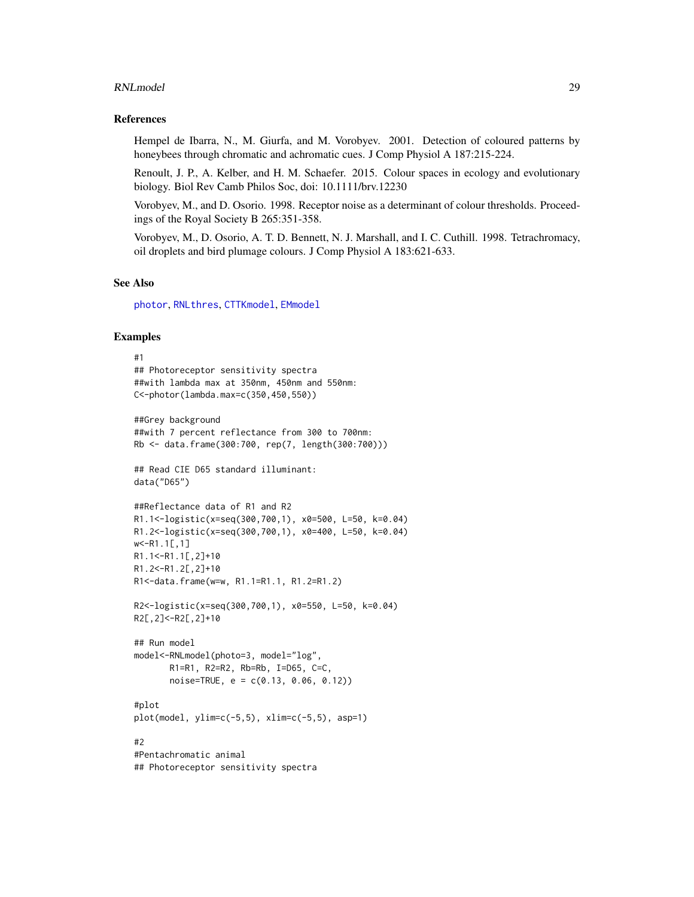#### <span id="page-28-0"></span>RNLmodel 29

#### References

Hempel de Ibarra, N., M. Giurfa, and M. Vorobyev. 2001. Detection of coloured patterns by honeybees through chromatic and achromatic cues. J Comp Physiol A 187:215-224.

Renoult, J. P., A. Kelber, and H. M. Schaefer. 2015. Colour spaces in ecology and evolutionary biology. Biol Rev Camb Philos Soc, doi: 10.1111/brv.12230

Vorobyev, M., and D. Osorio. 1998. Receptor noise as a determinant of colour thresholds. Proceedings of the Royal Society B 265:351-358.

Vorobyev, M., D. Osorio, A. T. D. Bennett, N. J. Marshall, and I. C. Cuthill. 1998. Tetrachromacy, oil droplets and bird plumage colours. J Comp Physiol A 183:621-633.

#### See Also

[photor](#page-19-1), [RNLthres](#page-29-1), [CTTKmodel](#page-8-1), [EMmodel](#page-11-1)

#### Examples

```
#1
## Photoreceptor sensitivity spectra
##with lambda max at 350nm, 450nm and 550nm:
C<-photor(lambda.max=c(350,450,550))
##Grey background
##with 7 percent reflectance from 300 to 700nm:
Rb <- data.frame(300:700, rep(7, length(300:700)))
## Read CIE D65 standard illuminant:
data("D65")
##Reflectance data of R1 and R2
R1.1<-logistic(x=seq(300,700,1), x0=500, L=50, k=0.04)
R1.2<-logistic(x=seq(300,700,1), x0=400, L=50, k=0.04)
w<-R1.1[,1]
R1.1<-R1.1[,2]+10
R1.2<-R1.2[,2]+10
R1<-data.frame(w=w, R1.1=R1.1, R1.2=R1.2)
R2<-logistic(x=seq(300,700,1), x0=550, L=50, k=0.04)
R2[,2]<-R2[,2]+10
## Run model
model<-RNLmodel(photo=3, model="log",
       R1=R1, R2=R2, Rb=Rb, I=D65, C=C,
       noise=TRUE, e = c(0.13, 0.06, 0.12))
#plot
plot(model, ylim=c(-5,5), xlim=c(-5,5), asp=1)
#2
#Pentachromatic animal
## Photoreceptor sensitivity spectra
```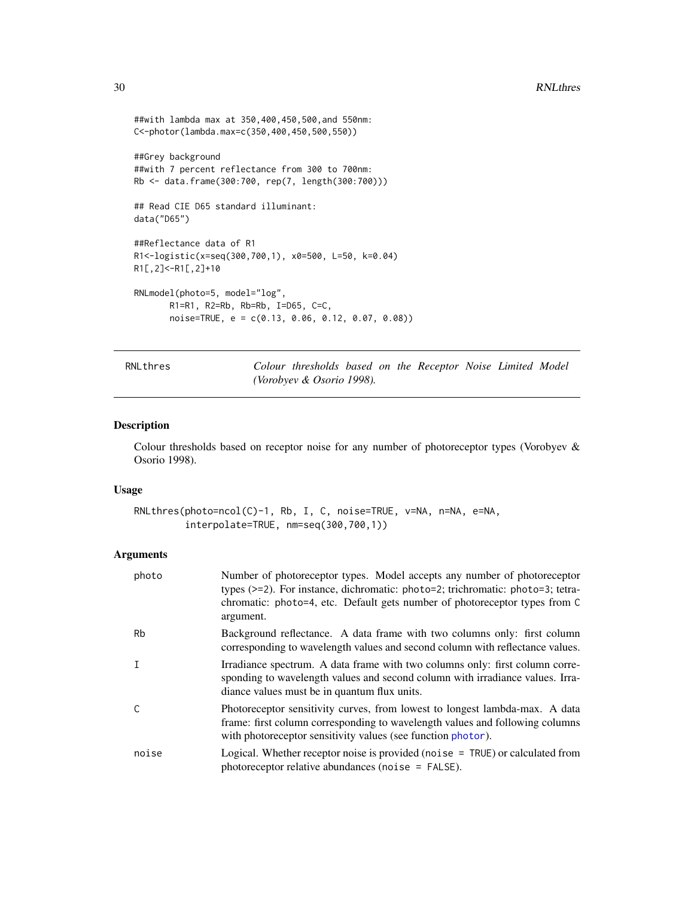```
##with lambda max at 350,400,450,500,and 550nm:
C<-photor(lambda.max=c(350,400,450,500,550))
##Grey background
##with 7 percent reflectance from 300 to 700nm:
Rb <- data.frame(300:700, rep(7, length(300:700)))
## Read CIE D65 standard illuminant:
data("D65")
##Reflectance data of R1
R1<-logistic(x=seq(300,700,1), x0=500, L=50, k=0.04)
R1[,2]<-R1[,2]+10
RNLmodel(photo=5, model="log",
       R1=R1, R2=Rb, Rb=Rb, I=D65, C=C,
       noise=TRUE, e = c(0.13, 0.06, 0.12, 0.07, 0.08))
```
<span id="page-29-1"></span>RNLthres *Colour thresholds based on the Receptor Noise Limited Model (Vorobyev & Osorio 1998).*

#### Description

Colour thresholds based on receptor noise for any number of photoreceptor types (Vorobyev & Osorio 1998).

#### Usage

```
RNLthres(photo=ncol(C)-1, Rb, I, C, noise=TRUE, v=NA, n=NA, e=NA,
         interpolate=TRUE, nm=seq(300,700,1))
```
# Arguments

| photo | Number of photoreceptor types. Model accepts any number of photoreceptor<br>types (>=2). For instance, dichromatic: photo=2; trichromatic: photo=3; tetra-<br>chromatic: photo=4, etc. Default gets number of photoreceptor types from C<br>argument. |
|-------|-------------------------------------------------------------------------------------------------------------------------------------------------------------------------------------------------------------------------------------------------------|
| Rb    | Background reflectance. A data frame with two columns only: first column<br>corresponding to wavelength values and second column with reflectance values.                                                                                             |
| I     | Irradiance spectrum. A data frame with two columns only: first column corre-<br>sponding to wavelength values and second column with irradiance values. Irra-<br>diance values must be in quantum flux units.                                         |
| C     | Photoreceptor sensitivity curves, from lowest to longest lambda-max. A data<br>frame: first column corresponding to wavelength values and following columns<br>with photoreceptor sensitivity values (see function photor).                           |
| noise | Logical. Whether receptor noise is provided (noise $=$ TRUE) or calculated from<br>photoreceptor relative abundances (noise = FALSE).                                                                                                                 |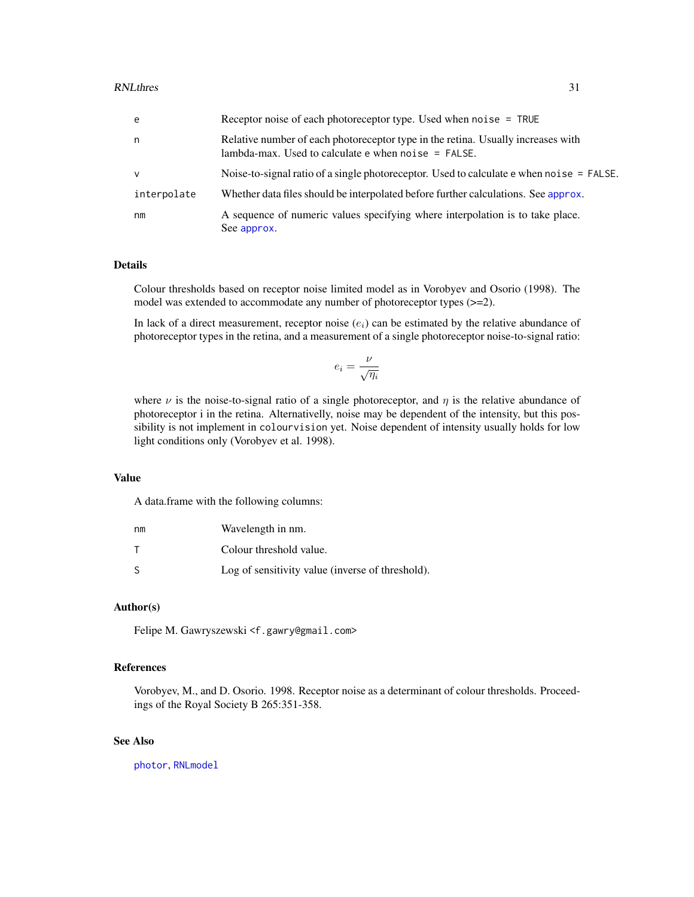<span id="page-30-0"></span>

| e            | Receptor noise of each photoreceptor type. Used when $noise = TRUE$                                                                       |
|--------------|-------------------------------------------------------------------------------------------------------------------------------------------|
| n            | Relative number of each photoreceptor type in the retina. Usually increases with<br>lambda-max. Used to calculate $e$ when noise = FALSE. |
| $\mathsf{v}$ | Noise-to-signal ratio of a single photoreceptor. Used to calculate $e$ when noi se = FALSE.                                               |
| interpolate  | Whether data files should be interpolated before further calculations. See approx.                                                        |
| nm           | A sequence of numeric values specifying where interpolation is to take place.<br>See approx.                                              |

#### Details

Colour thresholds based on receptor noise limited model as in Vorobyev and Osorio (1998). The model was extended to accommodate any number of photoreceptor types (>=2).

In lack of a direct measurement, receptor noise  $(e_i)$  can be estimated by the relative abundance of photoreceptor types in the retina, and a measurement of a single photoreceptor noise-to-signal ratio:

$$
e_i = \frac{\nu}{\sqrt{\eta_i}}
$$

where  $\nu$  is the noise-to-signal ratio of a single photoreceptor, and  $\eta$  is the relative abundance of photoreceptor i in the retina. Alternativelly, noise may be dependent of the intensity, but this possibility is not implement in colourvision yet. Noise dependent of intensity usually holds for low light conditions only (Vorobyev et al. 1998).

#### Value

A data.frame with the following columns:

| nm | Wavelength in nm.                                |
|----|--------------------------------------------------|
|    | Colour threshold value.                          |
| S  | Log of sensitivity value (inverse of threshold). |

#### Author(s)

Felipe M. Gawryszewski <f.gawry@gmail.com>

# References

Vorobyev, M., and D. Osorio. 1998. Receptor noise as a determinant of colour thresholds. Proceedings of the Royal Society B 265:351-358.

#### See Also

[photor](#page-19-1), [RNLmodel](#page-26-1)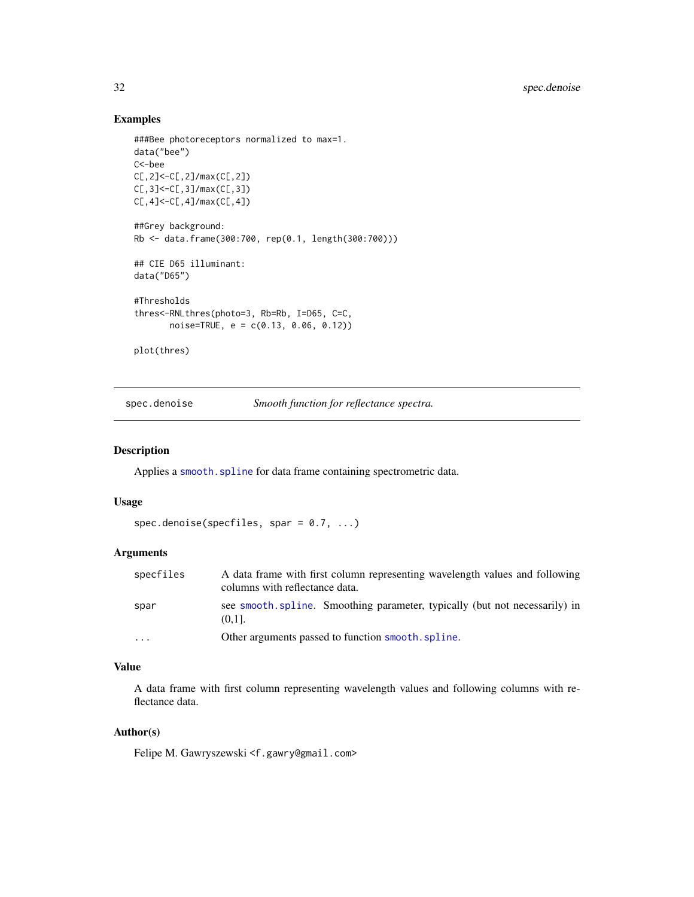# Examples

```
###Bee photoreceptors normalized to max=1.
data("bee")
C<-bee
C[,2]<-C[,2]/max(C[,2])
C[,3]<-C[,3]/max(C[,3])
C[,4]<-C[,4]/max(C[,4])
##Grey background:
Rb <- data.frame(300:700, rep(0.1, length(300:700)))
## CIE D65 illuminant:
data("D65")
#Thresholds
thres<-RNLthres(photo=3, Rb=Rb, I=D65, C=C,
      noise=TRUE, e = c(0.13, 0.06, 0.12))
plot(thres)
```
spec.denoise *Smooth function for reflectance spectra.*

#### Description

Applies a [smooth.spline](#page-0-0) for data frame containing spectrometric data.

#### Usage

```
spec.denoise(specfiles, spar = 0.7, ...)
```
#### Arguments

| specfiles | A data frame with first column representing wavelength values and following<br>columns with reflectance data. |
|-----------|---------------------------------------------------------------------------------------------------------------|
| spar      | see smooth spline. Smoothing parameter, typically (but not necessarily) in<br>$(0.11)$ .                      |
| $\cdots$  | Other arguments passed to function smooth. spline.                                                            |

# Value

A data frame with first column representing wavelength values and following columns with reflectance data.

#### Author(s)

Felipe M. Gawryszewski <f.gawry@gmail.com>

<span id="page-31-0"></span>